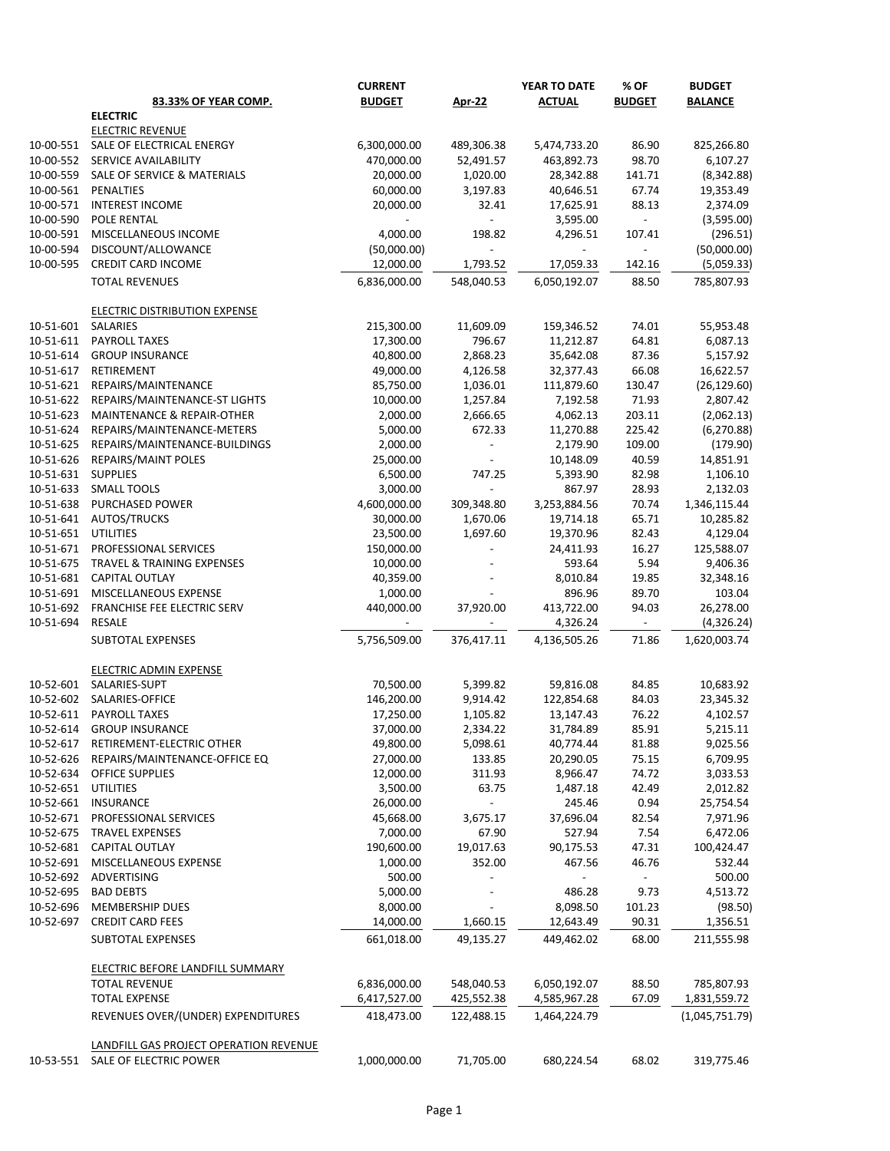|           |                                                                 | <b>CURRENT</b>            |                          | YEAR TO DATE              | % OF            | <b>BUDGET</b>            |
|-----------|-----------------------------------------------------------------|---------------------------|--------------------------|---------------------------|-----------------|--------------------------|
|           | 83.33% OF YEAR COMP.                                            | <b>BUDGET</b>             | <b>Apr-22</b>            | <b>ACTUAL</b>             | <b>BUDGET</b>   | <b>BALANCE</b>           |
|           | <b>ELECTRIC</b>                                                 |                           |                          |                           |                 |                          |
|           | <b>ELECTRIC REVENUE</b>                                         |                           |                          |                           |                 |                          |
| 10-00-551 | SALE OF ELECTRICAL ENERGY                                       | 6,300,000.00              | 489,306.38               | 5,474,733.20              | 86.90           | 825,266.80               |
| 10-00-552 | SERVICE AVAILABILITY                                            | 470,000.00                | 52,491.57                | 463,892.73                | 98.70           | 6,107.27                 |
| 10-00-559 | SALE OF SERVICE & MATERIALS                                     | 20,000.00                 | 1,020.00                 | 28,342.88                 | 141.71          | (8, 342.88)              |
| 10-00-561 | PENALTIES                                                       | 60,000.00                 | 3,197.83                 | 40,646.51                 | 67.74           | 19,353.49                |
| 10-00-571 | <b>INTEREST INCOME</b>                                          | 20,000.00                 | 32.41                    | 17,625.91                 | 88.13           | 2,374.09                 |
| 10-00-590 | POLE RENTAL                                                     |                           |                          | 3,595.00                  |                 | (3,595.00)               |
| 10-00-591 | MISCELLANEOUS INCOME                                            | 4,000.00                  | 198.82                   | 4,296.51                  | 107.41          | (296.51)                 |
| 10-00-594 | DISCOUNT/ALLOWANCE                                              | (50,000.00)               |                          |                           |                 | (50,000.00)              |
| 10-00-595 | CREDIT CARD INCOME<br><b>TOTAL REVENUES</b>                     | 12,000.00<br>6,836,000.00 | 1,793.52<br>548,040.53   | 17,059.33<br>6,050,192.07 | 142.16<br>88.50 | (5,059.33)<br>785,807.93 |
|           | <b>ELECTRIC DISTRIBUTION EXPENSE</b>                            |                           |                          |                           |                 |                          |
| 10-51-601 | SALARIES                                                        | 215,300.00                | 11,609.09                | 159,346.52                | 74.01           | 55,953.48                |
| 10-51-611 | <b>PAYROLL TAXES</b>                                            | 17,300.00                 | 796.67                   | 11,212.87                 | 64.81           | 6,087.13                 |
| 10-51-614 | <b>GROUP INSURANCE</b>                                          | 40,800.00                 | 2,868.23                 | 35,642.08                 | 87.36           | 5,157.92                 |
| 10-51-617 | RETIREMENT                                                      | 49,000.00                 | 4,126.58                 | 32,377.43                 | 66.08           | 16,622.57                |
| 10-51-621 | REPAIRS/MAINTENANCE                                             | 85,750.00                 | 1,036.01                 | 111,879.60                | 130.47          | (26, 129.60)             |
| 10-51-622 | REPAIRS/MAINTENANCE-ST LIGHTS                                   | 10,000.00                 | 1,257.84                 | 7,192.58                  | 71.93           | 2,807.42                 |
| 10-51-623 | <b>MAINTENANCE &amp; REPAIR-OTHER</b>                           | 2,000.00                  | 2,666.65                 | 4,062.13                  | 203.11          | (2,062.13)               |
| 10-51-624 | REPAIRS/MAINTENANCE-METERS                                      | 5,000.00                  | 672.33                   | 11,270.88                 | 225.42          | (6, 270.88)              |
| 10-51-625 | REPAIRS/MAINTENANCE-BUILDINGS                                   | 2,000.00                  |                          | 2,179.90                  | 109.00          | (179.90)                 |
| 10-51-626 | REPAIRS/MAINT POLES                                             | 25,000.00                 |                          | 10,148.09                 | 40.59           | 14,851.91                |
| 10-51-631 | <b>SUPPLIES</b>                                                 | 6,500.00                  | 747.25                   | 5,393.90                  | 82.98           | 1,106.10                 |
| 10-51-633 | <b>SMALL TOOLS</b>                                              | 3,000.00                  | $\overline{\phantom{a}}$ | 867.97                    | 28.93           | 2,132.03                 |
| 10-51-638 | PURCHASED POWER                                                 | 4,600,000.00              | 309,348.80               | 3,253,884.56              | 70.74           | 1,346,115.44             |
| 10-51-641 | <b>AUTOS/TRUCKS</b>                                             | 30,000.00                 | 1,670.06                 | 19,714.18                 | 65.71           | 10,285.82                |
| 10-51-651 | <b>UTILITIES</b>                                                | 23,500.00                 | 1,697.60                 | 19,370.96                 | 82.43           | 4,129.04                 |
| 10-51-671 | PROFESSIONAL SERVICES                                           | 150,000.00                |                          | 24,411.93                 | 16.27           | 125,588.07               |
| 10-51-675 | TRAVEL & TRAINING EXPENSES                                      | 10,000.00                 |                          | 593.64                    | 5.94            | 9,406.36                 |
| 10-51-681 | CAPITAL OUTLAY                                                  | 40,359.00                 |                          | 8,010.84                  | 19.85           | 32,348.16                |
| 10-51-691 | MISCELLANEOUS EXPENSE                                           | 1,000.00                  |                          | 896.96                    | 89.70           | 103.04                   |
| 10-51-692 | <b>FRANCHISE FEE ELECTRIC SERV</b>                              | 440,000.00                | 37,920.00                | 413,722.00                | 94.03           | 26,278.00                |
| 10-51-694 | RESALE                                                          |                           |                          | 4,326.24                  |                 | (4,326.24)               |
|           | SUBTOTAL EXPENSES                                               | 5,756,509.00              | 376,417.11               | 4,136,505.26              | 71.86           | 1,620,003.74             |
|           | ELECTRIC ADMIN EXPENSE                                          |                           |                          |                           |                 |                          |
| 10-52-601 | SALARIES-SUPT                                                   | 70,500.00                 | 5,399.82                 | 59,816.08                 | 84.85           | 10,683.92                |
| 10-52-602 | SALARIES-OFFICE                                                 | 146,200.00                | 9,914.42                 | 122,854.68                | 84.03           | 23,345.32                |
| 10-52-611 | PAYROLL TAXES                                                   | 17,250.00                 | 1,105.82                 | 13,147.43                 | 76.22           | 4,102.57                 |
| 10-52-614 | <b>GROUP INSURANCE</b>                                          | 37,000.00                 | 2,334.22                 | 31,784.89                 | 85.91           | 5,215.11                 |
| 10-52-617 | RETIREMENT-ELECTRIC OTHER                                       | 49,800.00                 | 5,098.61                 | 40,774.44                 | 81.88           | 9,025.56                 |
| 10-52-626 | REPAIRS/MAINTENANCE-OFFICE EQ                                   | 27,000.00                 | 133.85                   | 20,290.05                 | 75.15           | 6,709.95                 |
| 10-52-634 | <b>OFFICE SUPPLIES</b>                                          | 12,000.00                 | 311.93                   | 8,966.47                  | 74.72           | 3,033.53                 |
| 10-52-651 | <b>UTILITIES</b>                                                | 3,500.00                  | 63.75                    | 1,487.18                  | 42.49           | 2,012.82                 |
| 10-52-661 | <b>INSURANCE</b>                                                | 26,000.00                 |                          | 245.46                    | 0.94            | 25,754.54                |
| 10-52-671 | PROFESSIONAL SERVICES                                           | 45,668.00                 | 3,675.17                 | 37,696.04                 | 82.54           | 7,971.96                 |
| 10-52-675 | <b>TRAVEL EXPENSES</b>                                          | 7,000.00                  | 67.90                    | 527.94                    | 7.54            | 6,472.06                 |
| 10-52-681 | CAPITAL OUTLAY                                                  | 190,600.00                | 19,017.63                | 90,175.53                 | 47.31           | 100,424.47               |
| 10-52-691 | MISCELLANEOUS EXPENSE                                           | 1,000.00                  | 352.00                   | 467.56                    | 46.76           | 532.44                   |
| 10-52-692 | ADVERTISING                                                     | 500.00                    |                          |                           |                 | 500.00                   |
| 10-52-695 | <b>BAD DEBTS</b>                                                | 5,000.00                  |                          | 486.28                    | 9.73            | 4,513.72                 |
| 10-52-696 | MEMBERSHIP DUES                                                 | 8,000.00                  |                          | 8,098.50                  | 101.23          | (98.50)                  |
| 10-52-697 | <b>CREDIT CARD FEES</b>                                         | 14,000.00                 | 1,660.15                 | 12,643.49                 | 90.31           | 1,356.51                 |
|           | SUBTOTAL EXPENSES                                               | 661,018.00                | 49,135.27                | 449,462.02                | 68.00           | 211,555.98               |
|           | <b>ELECTRIC BEFORE LANDFILL SUMMARY</b><br><b>TOTAL REVENUE</b> | 6,836,000.00              | 548,040.53               | 6,050,192.07              | 88.50           | 785,807.93               |
|           | <b>TOTAL EXPENSE</b>                                            | 6,417,527.00              | 425,552.38               | 4,585,967.28              | 67.09           | 1,831,559.72             |
|           | REVENUES OVER/(UNDER) EXPENDITURES                              | 418,473.00                | 122,488.15               | 1,464,224.79              |                 | (1,045,751.79)           |
|           | LANDFILL GAS PROJECT OPERATION REVENUE                          |                           |                          |                           |                 |                          |
| 10-53-551 | SALE OF ELECTRIC POWER                                          | 1,000,000.00              | 71,705.00                | 680,224.54                | 68.02           | 319,775.46               |
|           |                                                                 |                           |                          |                           |                 |                          |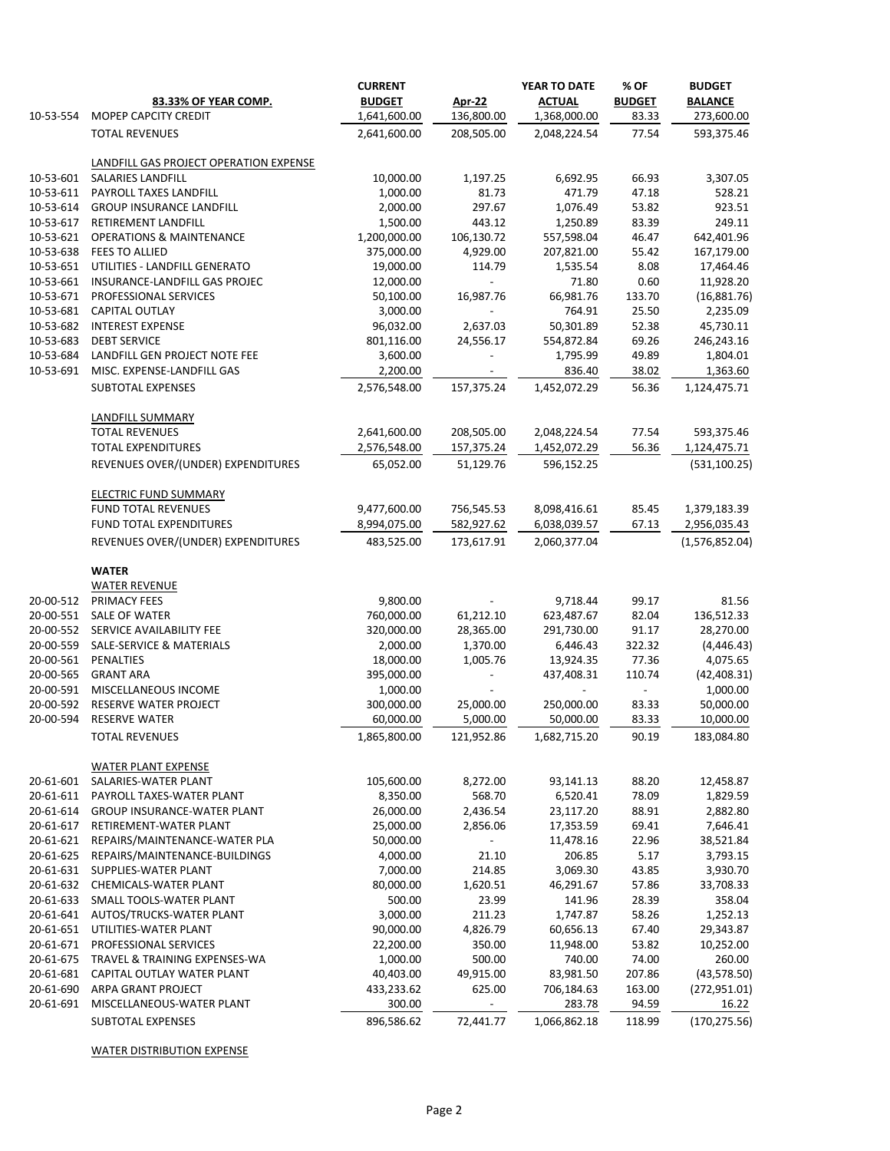| 10-53-554              | 83.33% OF YEAR COMP.<br>MOPEP CAPCITY CREDIT | <b>CURRENT</b><br><b>BUDGET</b><br>1,641,600.00 | <b>Apr-22</b><br>136,800.00 | YEAR TO DATE<br><b>ACTUAL</b><br>1,368,000.00 | % OF<br><b>BUDGET</b><br>83.33 | <b>BUDGET</b><br><b>BALANCE</b><br>273,600.00 |
|------------------------|----------------------------------------------|-------------------------------------------------|-----------------------------|-----------------------------------------------|--------------------------------|-----------------------------------------------|
|                        | <b>TOTAL REVENUES</b>                        | 2,641,600.00                                    | 208,505.00                  | 2,048,224.54                                  | 77.54                          | 593,375.46                                    |
|                        |                                              |                                                 |                             |                                               |                                |                                               |
|                        | LANDFILL GAS PROJECT OPERATION EXPENSE       |                                                 |                             |                                               |                                |                                               |
| 10-53-601<br>10-53-611 | SALARIES LANDFILL<br>PAYROLL TAXES LANDFILL  | 10,000.00<br>1,000.00                           | 1,197.25<br>81.73           | 6,692.95<br>471.79                            | 66.93<br>47.18                 | 3,307.05<br>528.21                            |
| 10-53-614              | <b>GROUP INSURANCE LANDFILL</b>              | 2,000.00                                        | 297.67                      | 1,076.49                                      | 53.82                          | 923.51                                        |
| 10-53-617              | RETIREMENT LANDFILL                          | 1,500.00                                        | 443.12                      | 1,250.89                                      | 83.39                          | 249.11                                        |
| 10-53-621              | <b>OPERATIONS &amp; MAINTENANCE</b>          | 1,200,000.00                                    | 106,130.72                  | 557,598.04                                    | 46.47                          | 642,401.96                                    |
| 10-53-638              | <b>FEES TO ALLIED</b>                        | 375,000.00                                      | 4,929.00                    | 207,821.00                                    | 55.42                          | 167,179.00                                    |
| 10-53-651              | UTILITIES - LANDFILL GENERATO                | 19,000.00                                       | 114.79                      | 1,535.54                                      | 8.08                           | 17,464.46                                     |
| 10-53-661              | INSURANCE-LANDFILL GAS PROJEC                | 12,000.00                                       | $\blacksquare$              | 71.80                                         | 0.60                           | 11,928.20                                     |
| 10-53-671              | PROFESSIONAL SERVICES                        | 50,100.00                                       | 16,987.76                   | 66,981.76                                     | 133.70                         | (16,881.76)                                   |
| 10-53-681              | CAPITAL OUTLAY                               | 3,000.00                                        | $\sim$                      | 764.91                                        | 25.50                          | 2,235.09                                      |
| 10-53-682              | <b>INTEREST EXPENSE</b>                      | 96,032.00                                       | 2,637.03                    | 50,301.89                                     | 52.38                          | 45,730.11                                     |
| 10-53-683              | <b>DEBT SERVICE</b>                          | 801,116.00                                      | 24,556.17                   | 554,872.84                                    | 69.26                          | 246,243.16                                    |
| 10-53-684              | LANDFILL GEN PROJECT NOTE FEE                | 3,600.00                                        |                             | 1,795.99                                      | 49.89                          | 1,804.01                                      |
| 10-53-691              | MISC. EXPENSE-LANDFILL GAS                   | 2,200.00                                        |                             | 836.40                                        | 38.02                          | 1,363.60                                      |
|                        | <b>SUBTOTAL EXPENSES</b>                     | 2,576,548.00                                    | 157,375.24                  | 1,452,072.29                                  | 56.36                          | 1,124,475.71                                  |
|                        |                                              |                                                 |                             |                                               |                                |                                               |
|                        | LANDFILL SUMMARY<br><b>TOTAL REVENUES</b>    | 2,641,600.00                                    | 208,505.00                  | 2,048,224.54                                  | 77.54                          | 593,375.46                                    |
|                        | <b>TOTAL EXPENDITURES</b>                    | 2,576,548.00                                    | 157,375.24                  | 1,452,072.29                                  | 56.36                          | 1,124,475.71                                  |
|                        |                                              |                                                 |                             |                                               |                                |                                               |
|                        | REVENUES OVER/(UNDER) EXPENDITURES           | 65,052.00                                       | 51,129.76                   | 596,152.25                                    |                                | (531, 100.25)                                 |
|                        | <b>ELECTRIC FUND SUMMARY</b>                 |                                                 |                             |                                               |                                |                                               |
|                        | <b>FUND TOTAL REVENUES</b>                   | 9,477,600.00                                    | 756,545.53                  | 8,098,416.61                                  | 85.45                          | 1,379,183.39                                  |
|                        | FUND TOTAL EXPENDITURES                      | 8,994,075.00                                    | 582,927.62                  | 6,038,039.57                                  | 67.13                          | 2,956,035.43                                  |
|                        | REVENUES OVER/(UNDER) EXPENDITURES           | 483,525.00                                      | 173,617.91                  | 2,060,377.04                                  |                                | (1,576,852.04)                                |
|                        | <b>WATER</b>                                 |                                                 |                             |                                               |                                |                                               |
|                        | <b>WATER REVENUE</b>                         |                                                 |                             |                                               |                                |                                               |
| 20-00-512              | <b>PRIMACY FEES</b>                          | 9,800.00                                        |                             | 9,718.44                                      | 99.17                          | 81.56                                         |
| 20-00-551              | <b>SALE OF WATER</b>                         | 760,000.00                                      | 61,212.10                   | 623,487.67                                    | 82.04                          | 136,512.33                                    |
| 20-00-552              | SERVICE AVAILABILITY FEE                     | 320,000.00                                      | 28,365.00                   | 291,730.00                                    | 91.17                          | 28,270.00                                     |
| 20-00-559              | SALE-SERVICE & MATERIALS                     | 2,000.00                                        | 1,370.00                    | 6,446.43                                      | 322.32                         | (4, 446.43)                                   |
| 20-00-561              | PENALTIES                                    | 18,000.00                                       | 1,005.76                    | 13,924.35                                     | 77.36                          | 4,075.65                                      |
| 20-00-565              | <b>GRANT ARA</b>                             | 395,000.00                                      |                             | 437,408.31                                    | 110.74                         | (42, 408.31)                                  |
| 20-00-591              | MISCELLANEOUS INCOME                         | 1,000.00                                        |                             |                                               |                                | 1,000.00                                      |
| 20-00-592              | RESERVE WATER PROJECT                        | 300,000.00                                      | 25,000.00                   | 250,000.00                                    | 83.33                          | 50,000.00                                     |
| 20-00-594              | RESERVE WATER                                | 60,000.00                                       | 5,000.00                    | 50,000.00                                     | 83.33                          | 10,000.00                                     |
|                        | <b>TOTAL REVENUES</b>                        | 1,865,800.00                                    | 121,952.86                  | 1,682,715.20                                  | 90.19                          | 183,084.80                                    |
|                        | <b>WATER PLANT EXPENSE</b>                   |                                                 |                             |                                               |                                |                                               |
| 20-61-601              | SALARIES-WATER PLANT                         | 105,600.00                                      | 8,272.00                    | 93,141.13                                     | 88.20                          | 12,458.87                                     |
| 20-61-611              | PAYROLL TAXES-WATER PLANT                    | 8,350.00                                        | 568.70                      | 6,520.41                                      | 78.09                          | 1,829.59                                      |
| 20-61-614              | <b>GROUP INSURANCE-WATER PLANT</b>           | 26,000.00                                       | 2,436.54                    | 23,117.20                                     | 88.91                          | 2,882.80                                      |
| 20-61-617              | RETIREMENT-WATER PLANT                       | 25,000.00                                       | 2,856.06                    | 17,353.59                                     | 69.41                          | 7,646.41                                      |
| 20-61-621              | REPAIRS/MAINTENANCE-WATER PLA                | 50,000.00                                       |                             | 11,478.16                                     | 22.96                          | 38,521.84                                     |
| 20-61-625              | REPAIRS/MAINTENANCE-BUILDINGS                | 4,000.00                                        | 21.10                       | 206.85                                        | 5.17                           | 3,793.15                                      |
| 20-61-631              | SUPPLIES-WATER PLANT                         | 7,000.00                                        | 214.85                      | 3,069.30                                      | 43.85                          | 3,930.70                                      |
| 20-61-632              | CHEMICALS-WATER PLANT                        | 80,000.00                                       | 1,620.51                    | 46,291.67                                     | 57.86                          | 33,708.33                                     |
| 20-61-633              | SMALL TOOLS-WATER PLANT                      | 500.00                                          | 23.99                       | 141.96                                        | 28.39                          | 358.04                                        |
| 20-61-641              | AUTOS/TRUCKS-WATER PLANT                     | 3,000.00                                        | 211.23                      | 1,747.87                                      | 58.26                          | 1,252.13                                      |
| 20-61-651              | UTILITIES-WATER PLANT                        | 90,000.00                                       | 4,826.79                    | 60,656.13                                     | 67.40                          | 29,343.87                                     |
| 20-61-671              | PROFESSIONAL SERVICES                        | 22,200.00                                       | 350.00                      | 11,948.00                                     | 53.82                          | 10,252.00                                     |
| 20-61-675              | TRAVEL & TRAINING EXPENSES-WA                | 1,000.00                                        | 500.00                      | 740.00                                        | 74.00                          | 260.00                                        |
| 20-61-681              | CAPITAL OUTLAY WATER PLANT                   | 40,403.00                                       | 49,915.00                   | 83,981.50                                     | 207.86                         | (43, 578.50)                                  |
| 20-61-690              | ARPA GRANT PROJECT                           | 433,233.62                                      | 625.00                      | 706,184.63                                    | 163.00                         | (272, 951.01)                                 |
| 20-61-691              | MISCELLANEOUS-WATER PLANT                    | 300.00                                          |                             | 283.78                                        | 94.59                          | 16.22                                         |
|                        | <b>SUBTOTAL EXPENSES</b>                     | 896,586.62                                      | 72,441.77                   | 1,066,862.18                                  | 118.99                         | (170, 275.56)                                 |

WATER DISTRIBUTION EXPENSE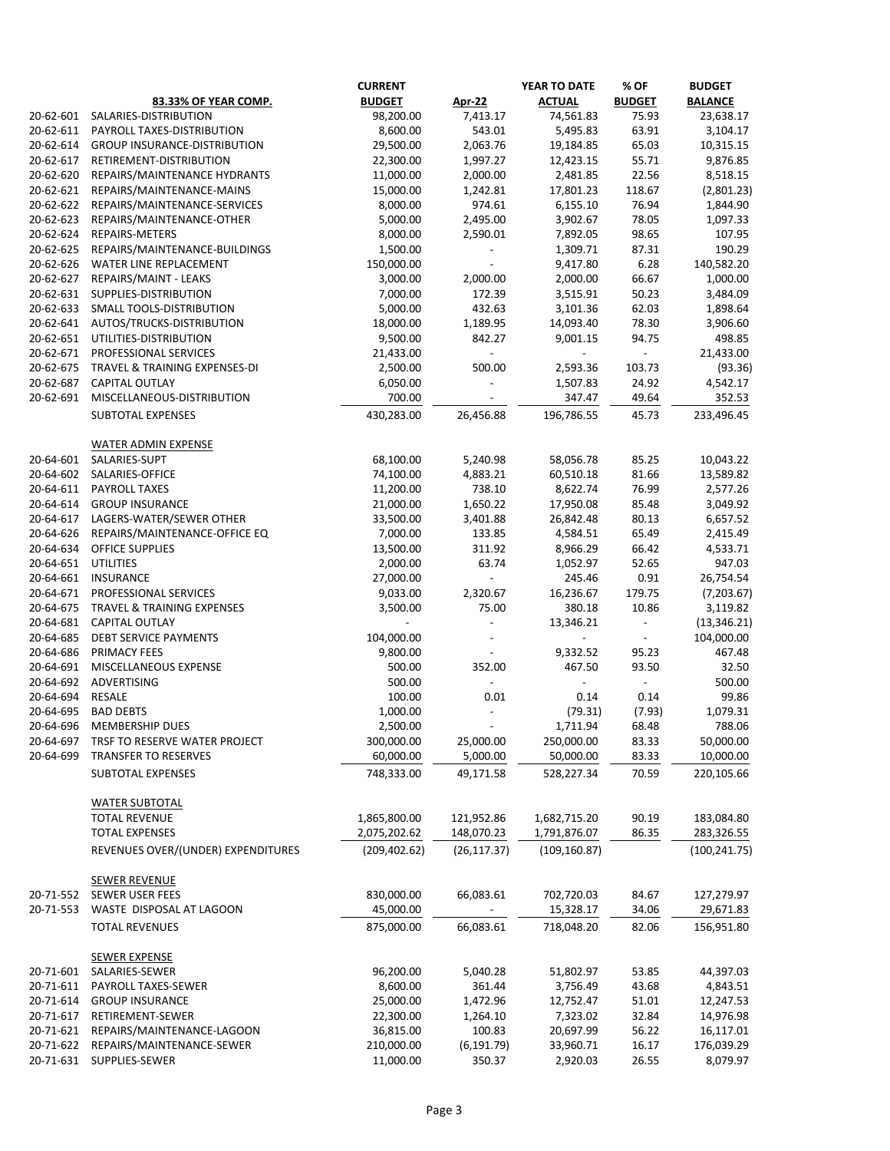|           |                                     | <b>CURRENT</b> |                          | YEAR TO DATE             | % OF          | <b>BUDGET</b>  |
|-----------|-------------------------------------|----------------|--------------------------|--------------------------|---------------|----------------|
|           | 83.33% OF YEAR COMP.                | <b>BUDGET</b>  | <b>Apr-22</b>            | <b>ACTUAL</b>            | <b>BUDGET</b> | <b>BALANCE</b> |
| 20-62-601 | SALARIES-DISTRIBUTION               | 98,200.00      | 7,413.17                 | 74,561.83                | 75.93         | 23,638.17      |
| 20-62-611 | PAYROLL TAXES-DISTRIBUTION          | 8,600.00       | 543.01                   | 5,495.83                 | 63.91         | 3,104.17       |
| 20-62-614 | <b>GROUP INSURANCE-DISTRIBUTION</b> | 29,500.00      | 2,063.76                 | 19,184.85                | 65.03         | 10,315.15      |
| 20-62-617 | RETIREMENT-DISTRIBUTION             | 22,300.00      | 1,997.27                 | 12,423.15                | 55.71         | 9,876.85       |
| 20-62-620 | REPAIRS/MAINTENANCE HYDRANTS        | 11,000.00      | 2,000.00                 | 2,481.85                 | 22.56         | 8,518.15       |
| 20-62-621 | REPAIRS/MAINTENANCE-MAINS           | 15,000.00      | 1,242.81                 | 17,801.23                | 118.67        | (2,801.23)     |
| 20-62-622 |                                     |                |                          |                          |               |                |
|           | REPAIRS/MAINTENANCE-SERVICES        | 8,000.00       | 974.61                   | 6,155.10                 | 76.94         | 1,844.90       |
| 20-62-623 | REPAIRS/MAINTENANCE-OTHER           | 5,000.00       | 2,495.00                 | 3,902.67                 | 78.05         | 1,097.33       |
| 20-62-624 | REPAIRS-METERS                      | 8,000.00       | 2,590.01                 | 7,892.05                 | 98.65         | 107.95         |
| 20-62-625 | REPAIRS/MAINTENANCE-BUILDINGS       | 1,500.00       |                          | 1,309.71                 | 87.31         | 190.29         |
| 20-62-626 | WATER LINE REPLACEMENT              | 150,000.00     |                          | 9,417.80                 | 6.28          | 140,582.20     |
| 20-62-627 | REPAIRS/MAINT - LEAKS               | 3,000.00       | 2,000.00                 | 2,000.00                 | 66.67         | 1,000.00       |
| 20-62-631 | SUPPLIES-DISTRIBUTION               | 7,000.00       | 172.39                   | 3,515.91                 | 50.23         | 3,484.09       |
| 20-62-633 | SMALL TOOLS-DISTRIBUTION            | 5,000.00       | 432.63                   | 3,101.36                 | 62.03         | 1,898.64       |
| 20-62-641 | AUTOS/TRUCKS-DISTRIBUTION           | 18,000.00      | 1,189.95                 | 14,093.40                | 78.30         | 3,906.60       |
| 20-62-651 | UTILITIES-DISTRIBUTION              | 9,500.00       | 842.27                   | 9,001.15                 | 94.75         | 498.85         |
| 20-62-671 | PROFESSIONAL SERVICES               | 21,433.00      | $\overline{\phantom{a}}$ |                          |               | 21,433.00      |
| 20-62-675 | TRAVEL & TRAINING EXPENSES-DI       | 2,500.00       | 500.00                   | 2,593.36                 | 103.73        | (93.36)        |
| 20-62-687 | CAPITAL OUTLAY                      | 6,050.00       |                          | 1,507.83                 | 24.92         | 4,542.17       |
| 20-62-691 | MISCELLANEOUS-DISTRIBUTION          | 700.00         |                          | 347.47                   | 49.64         | 352.53         |
|           |                                     |                |                          |                          |               |                |
|           | <b>SUBTOTAL EXPENSES</b>            | 430,283.00     | 26,456.88                | 196,786.55               | 45.73         | 233,496.45     |
|           |                                     |                |                          |                          |               |                |
|           | <b>WATER ADMIN EXPENSE</b>          |                |                          |                          |               |                |
| 20-64-601 | SALARIES-SUPT                       | 68,100.00      | 5,240.98                 | 58,056.78                | 85.25         | 10,043.22      |
| 20-64-602 | SALARIES-OFFICE                     | 74,100.00      | 4,883.21                 | 60,510.18                | 81.66         | 13,589.82      |
| 20-64-611 | PAYROLL TAXES                       | 11,200.00      | 738.10                   | 8,622.74                 | 76.99         | 2,577.26       |
| 20-64-614 | <b>GROUP INSURANCE</b>              | 21,000.00      | 1,650.22                 | 17,950.08                | 85.48         | 3,049.92       |
| 20-64-617 | LAGERS-WATER/SEWER OTHER            | 33,500.00      | 3,401.88                 | 26,842.48                | 80.13         | 6,657.52       |
| 20-64-626 | REPAIRS/MAINTENANCE-OFFICE EQ       | 7,000.00       | 133.85                   | 4,584.51                 | 65.49         | 2,415.49       |
| 20-64-634 | OFFICE SUPPLIES                     | 13,500.00      | 311.92                   | 8,966.29                 | 66.42         | 4,533.71       |
| 20-64-651 | <b>UTILITIES</b>                    | 2,000.00       | 63.74                    | 1,052.97                 | 52.65         | 947.03         |
| 20-64-661 | <b>INSURANCE</b>                    | 27,000.00      | $\blacksquare$           | 245.46                   | 0.91          | 26,754.54      |
| 20-64-671 | PROFESSIONAL SERVICES               | 9,033.00       | 2,320.67                 | 16,236.67                | 179.75        | (7,203.67)     |
| 20-64-675 | TRAVEL & TRAINING EXPENSES          | 3,500.00       | 75.00                    | 380.18                   | 10.86         | 3,119.82       |
| 20-64-681 | CAPITAL OUTLAY                      |                |                          | 13,346.21                |               | (13, 346.21)   |
| 20-64-685 | <b>DEBT SERVICE PAYMENTS</b>        | 104,000.00     |                          | $\overline{\phantom{a}}$ | $ \,$         | 104,000.00     |
|           |                                     | 9,800.00       |                          |                          | 95.23         | 467.48         |
| 20-64-686 | PRIMACY FEES                        |                |                          | 9,332.52                 |               |                |
| 20-64-691 | MISCELLANEOUS EXPENSE               | 500.00         | 352.00                   | 467.50                   | 93.50         | 32.50          |
| 20-64-692 | ADVERTISING                         | 500.00         |                          | $\overline{\phantom{0}}$ |               | 500.00         |
| 20-64-694 | RESALE                              | 100.00         | 0.01                     | 0.14                     | 0.14          | 99.86          |
| 20-64-695 | <b>BAD DEBTS</b>                    | 1,000.00       |                          | (79.31)                  | (7.93)        | 1,079.31       |
| 20-64-696 | MEMBERSHIP DUES                     | 2,500.00       |                          | 1,711.94                 | 68.48         | 788.06         |
| 20-64-697 | TRSF TO RESERVE WATER PROJECT       | 300,000.00     | 25,000.00                | 250,000.00               | 83.33         | 50,000.00      |
| 20-64-699 | <b>TRANSFER TO RESERVES</b>         | 60,000.00      | 5,000.00                 | 50,000.00                | 83.33         | 10,000.00      |
|           | <b>SUBTOTAL EXPENSES</b>            | 748,333.00     | 49,171.58                | 528,227.34               | 70.59         | 220,105.66     |
|           |                                     |                |                          |                          |               |                |
|           | <b>WATER SUBTOTAL</b>               |                |                          |                          |               |                |
|           | <b>TOTAL REVENUE</b>                | 1,865,800.00   | 121,952.86               | 1,682,715.20             | 90.19         | 183,084.80     |
|           | <b>TOTAL EXPENSES</b>               | 2,075,202.62   | 148,070.23               | 1,791,876.07             | 86.35         | 283,326.55     |
|           | REVENUES OVER/(UNDER) EXPENDITURES  | (209, 402.62)  | (26, 117.37)             | (109, 160.87)            |               | (100, 241.75)  |
|           |                                     |                |                          |                          |               |                |
|           | <b>SEWER REVENUE</b>                |                |                          |                          |               |                |
|           |                                     |                |                          |                          |               |                |
| 20-71-552 | <b>SEWER USER FEES</b>              | 830,000.00     | 66,083.61                | 702,720.03               | 84.67         | 127,279.97     |
| 20-71-553 | WASTE DISPOSAL AT LAGOON            | 45,000.00      |                          | 15,328.17                | 34.06         | 29,671.83      |
|           | <b>TOTAL REVENUES</b>               | 875,000.00     | 66,083.61                | 718,048.20               | 82.06         | 156,951.80     |
|           |                                     |                |                          |                          |               |                |
|           | <b>SEWER EXPENSE</b>                |                |                          |                          |               |                |
| 20-71-601 | SALARIES-SEWER                      | 96,200.00      | 5,040.28                 | 51,802.97                | 53.85         | 44,397.03      |
| 20-71-611 | PAYROLL TAXES-SEWER                 | 8,600.00       | 361.44                   | 3,756.49                 | 43.68         | 4,843.51       |
| 20-71-614 | <b>GROUP INSURANCE</b>              | 25,000.00      | 1,472.96                 | 12,752.47                | 51.01         | 12,247.53      |
| 20-71-617 | RETIREMENT-SEWER                    | 22,300.00      | 1,264.10                 | 7,323.02                 | 32.84         | 14,976.98      |
| 20-71-621 | REPAIRS/MAINTENANCE-LAGOON          | 36,815.00      | 100.83                   | 20,697.99                | 56.22         | 16,117.01      |
| 20-71-622 | REPAIRS/MAINTENANCE-SEWER           | 210,000.00     | (6, 191.79)              | 33,960.71                | 16.17         | 176,039.29     |
| 20-71-631 | SUPPLIES-SEWER                      | 11,000.00      | 350.37                   | 2,920.03                 | 26.55         | 8,079.97       |
|           |                                     |                |                          |                          |               |                |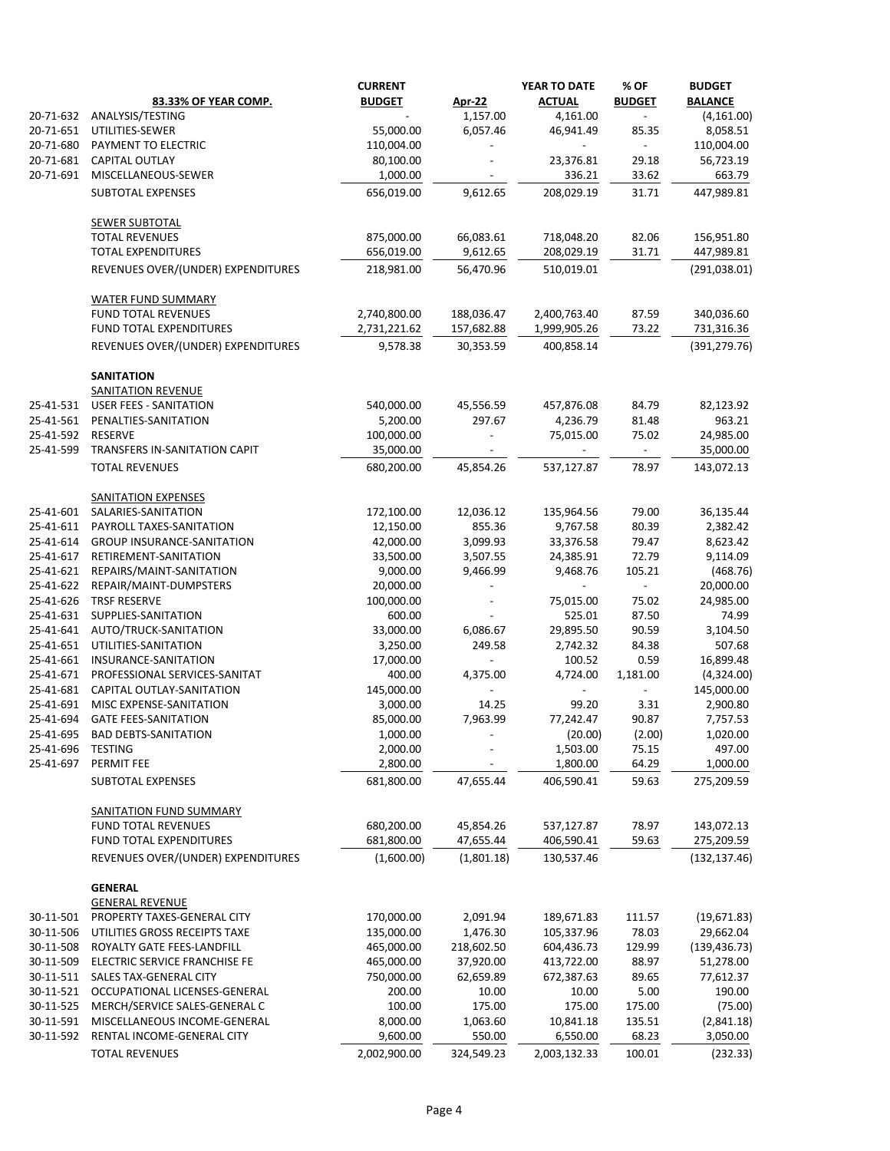|                        |                                                         | <b>CURRENT</b>           |                        | <b>YEAR TO DATE</b>      | % OF           | <b>BUDGET</b>          |
|------------------------|---------------------------------------------------------|--------------------------|------------------------|--------------------------|----------------|------------------------|
|                        | 83.33% OF YEAR COMP.                                    | <b>BUDGET</b>            | <b>Apr-22</b>          | <b>ACTUAL</b>            | <b>BUDGET</b>  | <b>BALANCE</b>         |
| 20-71-632              | ANALYSIS/TESTING                                        |                          | 1,157.00               | 4,161.00                 | $\blacksquare$ | (4, 161.00)            |
| 20-71-651              | UTILITIES-SEWER                                         | 55,000.00                | 6,057.46               | 46,941.49                | 85.35          | 8,058.51               |
| 20-71-680              | PAYMENT TO ELECTRIC                                     | 110,004.00               |                        |                          | $\blacksquare$ | 110,004.00             |
| 20-71-681              | <b>CAPITAL OUTLAY</b>                                   | 80,100.00                |                        | 23,376.81                | 29.18          | 56,723.19              |
| 20-71-691              | MISCELLANEOUS-SEWER                                     | 1,000.00                 |                        | 336.21                   | 33.62          | 663.79                 |
|                        | <b>SUBTOTAL EXPENSES</b>                                | 656,019.00               | 9,612.65               | 208,029.19               | 31.71          | 447,989.81             |
|                        | <b>SEWER SUBTOTAL</b>                                   |                          |                        |                          |                |                        |
|                        | <b>TOTAL REVENUES</b>                                   | 875,000.00               | 66,083.61              | 718,048.20               | 82.06          | 156,951.80             |
|                        | <b>TOTAL EXPENDITURES</b>                               | 656,019.00               | 9,612.65               | 208,029.19               | 31.71          | 447,989.81             |
|                        | REVENUES OVER/(UNDER) EXPENDITURES                      | 218,981.00               | 56,470.96              | 510,019.01               |                | (291, 038.01)          |
|                        | <b>WATER FUND SUMMARY</b>                               |                          |                        |                          |                |                        |
|                        | <b>FUND TOTAL REVENUES</b>                              | 2,740,800.00             | 188,036.47             | 2,400,763.40             | 87.59          | 340,036.60             |
|                        | FUND TOTAL EXPENDITURES                                 | 2,731,221.62             | 157,682.88             | 1,999,905.26             | 73.22          | 731,316.36             |
|                        | REVENUES OVER/(UNDER) EXPENDITURES                      | 9,578.38                 | 30,353.59              | 400,858.14               |                | (391, 279.76)          |
|                        | <b>SANITATION</b>                                       |                          |                        |                          |                |                        |
|                        | <b>SANITATION REVENUE</b>                               |                          |                        |                          |                |                        |
| 25-41-531              | <b>USER FEES - SANITATION</b>                           | 540,000.00               | 45,556.59              | 457,876.08               | 84.79          | 82,123.92              |
| 25-41-561              | PENALTIES-SANITATION                                    | 5,200.00                 | 297.67                 | 4,236.79                 | 81.48          | 963.21                 |
| 25-41-592              | RESERVE                                                 | 100,000.00               |                        | 75,015.00                | 75.02          | 24,985.00              |
| 25-41-599              | TRANSFERS IN-SANITATION CAPIT                           | 35,000.00                |                        |                          | $\blacksquare$ | 35,000.00              |
|                        | <b>TOTAL REVENUES</b>                                   | 680,200.00               | 45,854.26              | 537,127.87               | 78.97          | 143,072.13             |
|                        | <b>SANITATION EXPENSES</b>                              |                          |                        |                          |                |                        |
| 25-41-601              | SALARIES-SANITATION                                     | 172,100.00               | 12,036.12              | 135,964.56               | 79.00          | 36,135.44              |
| 25-41-611              | PAYROLL TAXES-SANITATION                                | 12,150.00                | 855.36                 | 9,767.58                 | 80.39          | 2,382.42               |
| 25-41-614              | <b>GROUP INSURANCE-SANITATION</b>                       | 42,000.00                | 3,099.93               | 33,376.58                | 79.47          | 8,623.42               |
| 25-41-617              | RETIREMENT-SANITATION                                   | 33,500.00                | 3,507.55               | 24,385.91                | 72.79          | 9,114.09               |
| 25-41-621              | REPAIRS/MAINT-SANITATION                                | 9,000.00                 | 9,466.99               | 9,468.76                 | 105.21         | (468.76)               |
| 25-41-622              | REPAIR/MAINT-DUMPSTERS                                  | 20,000.00                |                        |                          |                | 20,000.00              |
| 25-41-626              | <b>TRSF RESERVE</b>                                     | 100,000.00               |                        | 75,015.00                | 75.02          | 24,985.00              |
| 25-41-631              | SUPPLIES-SANITATION                                     | 600.00                   |                        | 525.01                   | 87.50          | 74.99                  |
| 25-41-641              | AUTO/TRUCK-SANITATION                                   | 33,000.00                | 6,086.67               | 29,895.50                | 90.59          | 3,104.50               |
| 25-41-651              | UTILITIES-SANITATION                                    | 3,250.00                 | 249.58                 | 2,742.32                 | 84.38          | 507.68                 |
| 25-41-661              | INSURANCE-SANITATION                                    | 17,000.00                |                        | 100.52                   | 0.59           | 16,899.48              |
| 25-41-671              | PROFESSIONAL SERVICES-SANITAT                           | 400.00                   | 4,375.00               | 4,724.00                 | 1,181.00       | (4,324.00)             |
| 25-41-681              | CAPITAL OUTLAY-SANITATION                               | 145,000.00               |                        |                          |                | 145,000.00             |
| 25-41-691              | MISC EXPENSE-SANITATION                                 | 3,000.00                 | 14.25                  | 99.20                    | 3.31           | 2,900.80               |
| 25-41-694              | <b>GATE FEES-SANITATION</b>                             | 85,000.00                | 7,963.99               | 77,242.47                | 90.87          | 7,757.53               |
| 25-41-695              | <b>BAD DEBTS-SANITATION</b>                             | 1,000.00                 |                        | (20.00)                  | (2.00)         | 1,020.00               |
| 25-41-696              | <b>TESTING</b>                                          | 2,000.00                 |                        | 1,503.00                 | 75.15          | 497.00                 |
| 25-41-697              | PERMIT FEE                                              | 2,800.00                 |                        | 1,800.00                 | 64.29          | 1,000.00               |
|                        | SUBTOTAL EXPENSES                                       | 681,800.00               | 47,655.44              | 406,590.41               | 59.63          | 275,209.59             |
|                        | <b>SANITATION FUND SUMMARY</b>                          |                          |                        |                          |                |                        |
|                        | <b>FUND TOTAL REVENUES</b>                              | 680,200.00               | 45,854.26              | 537,127.87               | 78.97          | 143,072.13             |
|                        | FUND TOTAL EXPENDITURES                                 | 681,800.00               | 47,655.44              | 406,590.41               | 59.63          | 275,209.59             |
|                        | REVENUES OVER/(UNDER) EXPENDITURES                      | (1,600.00)               | (1,801.18)             | 130,537.46               |                | (132, 137.46)          |
|                        | <b>GENERAL</b>                                          |                          |                        |                          |                |                        |
| 30-11-501              | <b>GENERAL REVENUE</b><br>PROPERTY TAXES-GENERAL CITY   | 170,000.00               | 2,091.94               | 189,671.83               | 111.57         | (19,671.83)            |
| 30-11-506              | UTILITIES GROSS RECEIPTS TAXE                           | 135,000.00               | 1,476.30               | 105,337.96               | 78.03          | 29,662.04              |
| 30-11-508              | ROYALTY GATE FEES-LANDFILL                              | 465,000.00               | 218,602.50             | 604,436.73               | 129.99         | (139, 436.73)          |
|                        |                                                         |                          |                        |                          | 88.97          |                        |
| 30-11-509<br>30-11-511 | ELECTRIC SERVICE FRANCHISE FE<br>SALES TAX-GENERAL CITY | 465,000.00<br>750,000.00 | 37,920.00<br>62,659.89 | 413,722.00<br>672,387.63 | 89.65          | 51,278.00<br>77,612.37 |
| 30-11-521              | OCCUPATIONAL LICENSES-GENERAL                           | 200.00                   | 10.00                  | 10.00                    | 5.00           | 190.00                 |
| 30-11-525              | MERCH/SERVICE SALES-GENERAL C                           | 100.00                   | 175.00                 | 175.00                   | 175.00         | (75.00)                |
| 30-11-591              | MISCELLANEOUS INCOME-GENERAL                            | 8,000.00                 | 1,063.60               | 10,841.18                | 135.51         | (2,841.18)             |
| 30-11-592              | RENTAL INCOME-GENERAL CITY                              | 9,600.00                 | 550.00                 | 6,550.00                 | 68.23          | 3,050.00               |
|                        | <b>TOTAL REVENUES</b>                                   | 2,002,900.00             | 324,549.23             | 2,003,132.33             | 100.01         | (232.33)               |
|                        |                                                         |                          |                        |                          |                |                        |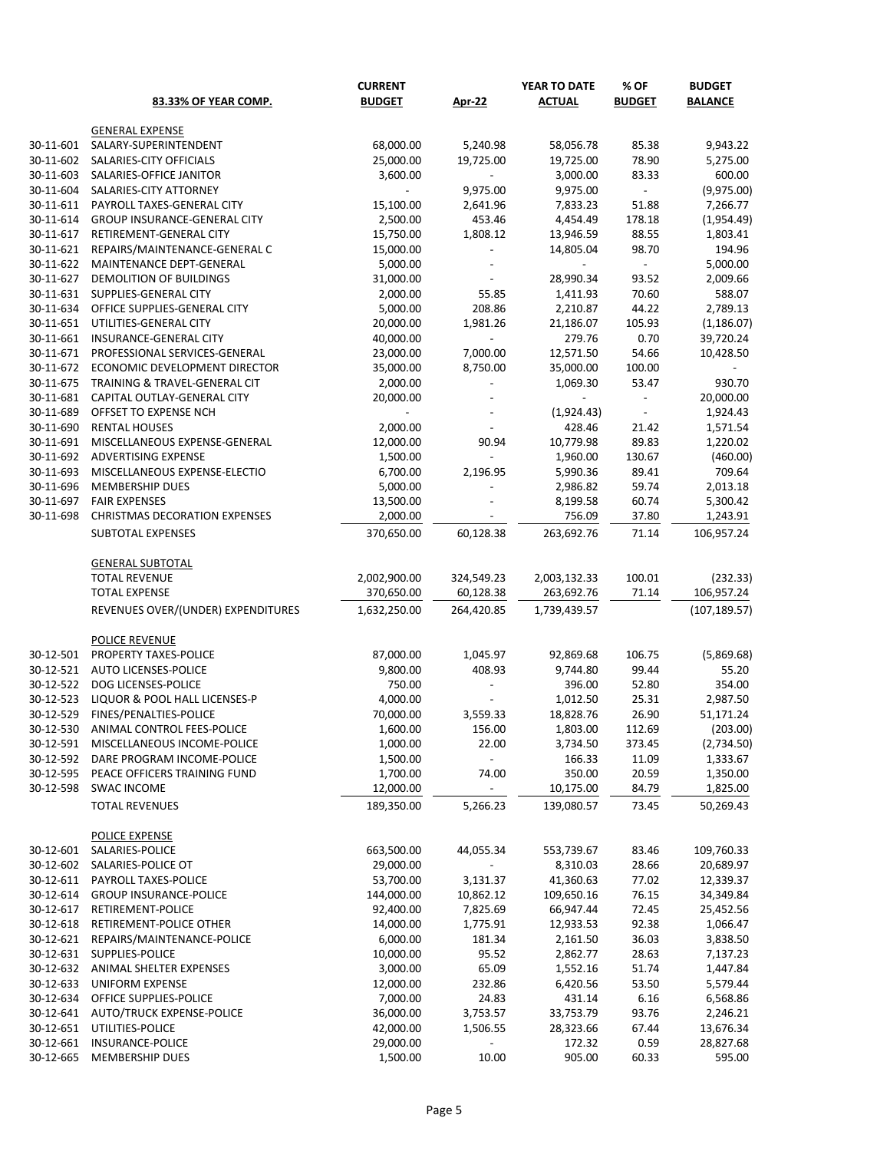|                        |                                                  | <b>CURRENT</b>         |                          | YEAR TO DATE          | % OF           | <b>BUDGET</b>      |
|------------------------|--------------------------------------------------|------------------------|--------------------------|-----------------------|----------------|--------------------|
|                        | 83.33% OF YEAR COMP.                             | <b>BUDGET</b>          | <b>Apr-22</b>            | <b>ACTUAL</b>         | <b>BUDGET</b>  | <b>BALANCE</b>     |
|                        |                                                  |                        |                          |                       |                |                    |
|                        | <b>GENERAL EXPENSE</b>                           |                        |                          |                       |                |                    |
| 30-11-601              | SALARY-SUPERINTENDENT                            | 68,000.00              | 5,240.98                 | 58,056.78             | 85.38          | 9,943.22           |
| 30-11-602              | SALARIES-CITY OFFICIALS                          | 25,000.00              | 19,725.00                | 19,725.00             | 78.90          | 5,275.00           |
| 30-11-603              | SALARIES-OFFICE JANITOR                          | 3,600.00               |                          | 3,000.00              | 83.33          | 600.00             |
| 30-11-604              | SALARIES-CITY ATTORNEY                           |                        | 9,975.00                 | 9,975.00              |                | (9,975.00)         |
| 30-11-611              | PAYROLL TAXES-GENERAL CITY                       | 15,100.00              | 2,641.96                 | 7,833.23              | 51.88          | 7,266.77           |
| 30-11-614<br>30-11-617 | <b>GROUP INSURANCE-GENERAL CITY</b>              | 2,500.00               | 453.46                   | 4,454.49              | 178.18         | (1,954.49)         |
| 30-11-621              | RETIREMENT-GENERAL CITY                          | 15,750.00<br>15,000.00 | 1,808.12                 | 13,946.59             | 88.55          | 1,803.41           |
|                        | REPAIRS/MAINTENANCE-GENERAL C                    |                        |                          | 14,805.04             | 98.70          | 194.96             |
| 30-11-622              | MAINTENANCE DEPT-GENERAL                         | 5,000.00               |                          |                       |                | 5,000.00           |
| 30-11-627<br>30-11-631 | DEMOLITION OF BUILDINGS<br>SUPPLIES-GENERAL CITY | 31,000.00<br>2,000.00  | 55.85                    | 28,990.34<br>1,411.93 | 93.52<br>70.60 | 2,009.66<br>588.07 |
| 30-11-634              | OFFICE SUPPLIES-GENERAL CITY                     | 5,000.00               | 208.86                   | 2,210.87              | 44.22          | 2,789.13           |
| 30-11-651              | UTILITIES-GENERAL CITY                           | 20,000.00              | 1,981.26                 | 21,186.07             | 105.93         | (1, 186.07)        |
| 30-11-661              | INSURANCE-GENERAL CITY                           | 40,000.00              |                          | 279.76                | 0.70           | 39,720.24          |
| 30-11-671              | PROFESSIONAL SERVICES-GENERAL                    | 23,000.00              | 7,000.00                 | 12,571.50             | 54.66          | 10,428.50          |
| 30-11-672              | ECONOMIC DEVELOPMENT DIRECTOR                    | 35,000.00              | 8,750.00                 | 35,000.00             | 100.00         |                    |
| 30-11-675              | TRAINING & TRAVEL-GENERAL CIT                    | 2,000.00               |                          | 1,069.30              | 53.47          | 930.70             |
| 30-11-681              | CAPITAL OUTLAY-GENERAL CITY                      | 20,000.00              | $\overline{\phantom{a}}$ |                       |                | 20,000.00          |
| 30-11-689              | OFFSET TO EXPENSE NCH                            | $\blacksquare$         | $\overline{\phantom{a}}$ | (1,924.43)            | $\sim$         | 1,924.43           |
| 30-11-690              | <b>RENTAL HOUSES</b>                             | 2,000.00               |                          | 428.46                | 21.42          | 1,571.54           |
| 30-11-691              | MISCELLANEOUS EXPENSE-GENERAL                    | 12,000.00              | 90.94                    | 10,779.98             | 89.83          | 1,220.02           |
| 30-11-692              | ADVERTISING EXPENSE                              | 1,500.00               |                          | 1,960.00              | 130.67         | (460.00)           |
| 30-11-693              | MISCELLANEOUS EXPENSE-ELECTIO                    | 6,700.00               | 2,196.95                 | 5,990.36              | 89.41          | 709.64             |
| 30-11-696              | MEMBERSHIP DUES                                  | 5,000.00               |                          | 2,986.82              | 59.74          | 2,013.18           |
| 30-11-697              | <b>FAIR EXPENSES</b>                             | 13,500.00              |                          | 8,199.58              | 60.74          | 5,300.42           |
| 30-11-698              | <b>CHRISTMAS DECORATION EXPENSES</b>             | 2,000.00               |                          | 756.09                | 37.80          | 1,243.91           |
|                        | <b>SUBTOTAL EXPENSES</b>                         | 370,650.00             | 60,128.38                | 263,692.76            | 71.14          | 106,957.24         |
|                        |                                                  |                        |                          |                       |                |                    |
|                        | <b>GENERAL SUBTOTAL</b>                          |                        |                          |                       |                |                    |
|                        | <b>TOTAL REVENUE</b>                             | 2,002,900.00           | 324,549.23               | 2,003,132.33          | 100.01         | (232.33)           |
|                        | <b>TOTAL EXPENSE</b>                             | 370,650.00             | 60,128.38                | 263,692.76            | 71.14          | 106,957.24         |
|                        | REVENUES OVER/(UNDER) EXPENDITURES               | 1,632,250.00           | 264,420.85               | 1,739,439.57          |                | (107, 189.57)      |
|                        |                                                  |                        |                          |                       |                |                    |
|                        | <b>POLICE REVENUE</b>                            |                        |                          |                       |                |                    |
| 30-12-501              | PROPERTY TAXES-POLICE                            | 87,000.00              | 1,045.97                 | 92,869.68             | 106.75         | (5,869.68)         |
| 30-12-521              | AUTO LICENSES-POLICE                             | 9,800.00               | 408.93                   | 9,744.80              | 99.44          | 55.20              |
| 30-12-522              | DOG LICENSES-POLICE                              | 750.00                 |                          | 396.00                | 52.80          | 354.00             |
| 30-12-523              | LIQUOR & POOL HALL LICENSES-P                    | 4,000.00               | $\overline{\phantom{a}}$ | 1,012.50              | 25.31          | 2,987.50           |
| 30-12-529              | FINES/PENALTIES-POLICE                           | 70,000.00              | 3,559.33                 | 18,828.76             | 26.90          | 51,171.24          |
| 30-12-530              | ANIMAL CONTROL FEES-POLICE                       | 1,600.00               | 156.00                   | 1,803.00              | 112.69         | (203.00)           |
| 30-12-591              | MISCELLANEOUS INCOME-POLICE                      | 1,000.00               | 22.00                    | 3,734.50              | 373.45         | (2,734.50)         |
| 30-12-592              | DARE PROGRAM INCOME-POLICE                       | 1,500.00               | $\overline{\phantom{a}}$ | 166.33                | 11.09          | 1,333.67           |
| 30-12-595              | PEACE OFFICERS TRAINING FUND                     | 1,700.00               | 74.00                    | 350.00                | 20.59          | 1,350.00           |
| 30-12-598              | <b>SWAC INCOME</b>                               | 12,000.00              |                          | 10,175.00             | 84.79          | 1,825.00           |
|                        | <b>TOTAL REVENUES</b>                            | 189,350.00             | 5,266.23                 | 139,080.57            | 73.45          | 50,269.43          |
|                        |                                                  |                        |                          |                       |                |                    |
|                        | POLICE EXPENSE                                   |                        |                          |                       |                |                    |
| 30-12-601              | SALARIES-POLICE                                  | 663,500.00             | 44,055.34                | 553,739.67            | 83.46          | 109,760.33         |
| 30-12-602              | SALARIES-POLICE OT                               | 29,000.00              |                          | 8,310.03              | 28.66          | 20,689.97          |
| 30-12-611              | PAYROLL TAXES-POLICE                             | 53,700.00              | 3,131.37                 | 41,360.63             | 77.02          | 12,339.37          |
| 30-12-614              | <b>GROUP INSURANCE-POLICE</b>                    | 144,000.00             | 10,862.12                | 109,650.16            | 76.15          | 34,349.84          |
| 30-12-617              | RETIREMENT-POLICE                                | 92,400.00              | 7,825.69                 | 66,947.44             | 72.45          | 25,452.56          |
| 30-12-618              | RETIREMENT-POLICE OTHER                          | 14,000.00              | 1,775.91                 | 12,933.53             | 92.38          | 1,066.47           |
| 30-12-621              | REPAIRS/MAINTENANCE-POLICE                       | 6,000.00               | 181.34                   | 2,161.50              | 36.03          | 3,838.50           |
| 30-12-631              | SUPPLIES-POLICE                                  | 10,000.00              | 95.52                    | 2,862.77              | 28.63          | 7,137.23           |
| 30-12-632              | ANIMAL SHELTER EXPENSES                          | 3,000.00               | 65.09                    | 1,552.16              | 51.74          | 1,447.84           |
| 30-12-633              | <b>UNIFORM EXPENSE</b>                           | 12,000.00              | 232.86                   | 6,420.56              | 53.50          | 5,579.44           |
| 30-12-634              | OFFICE SUPPLIES-POLICE                           | 7,000.00               | 24.83                    | 431.14                | 6.16           | 6,568.86           |
| 30-12-641              | <b>AUTO/TRUCK EXPENSE-POLICE</b>                 | 36,000.00              | 3,753.57                 | 33,753.79             | 93.76          | 2,246.21           |
| 30-12-651              | UTILITIES-POLICE                                 | 42,000.00              | 1,506.55                 | 28,323.66             | 67.44          | 13,676.34          |
| 30-12-661              | <b>INSURANCE-POLICE</b>                          | 29,000.00              |                          | 172.32                | 0.59           | 28,827.68          |
| 30-12-665              | MEMBERSHIP DUES                                  | 1,500.00               | 10.00                    | 905.00                | 60.33          | 595.00             |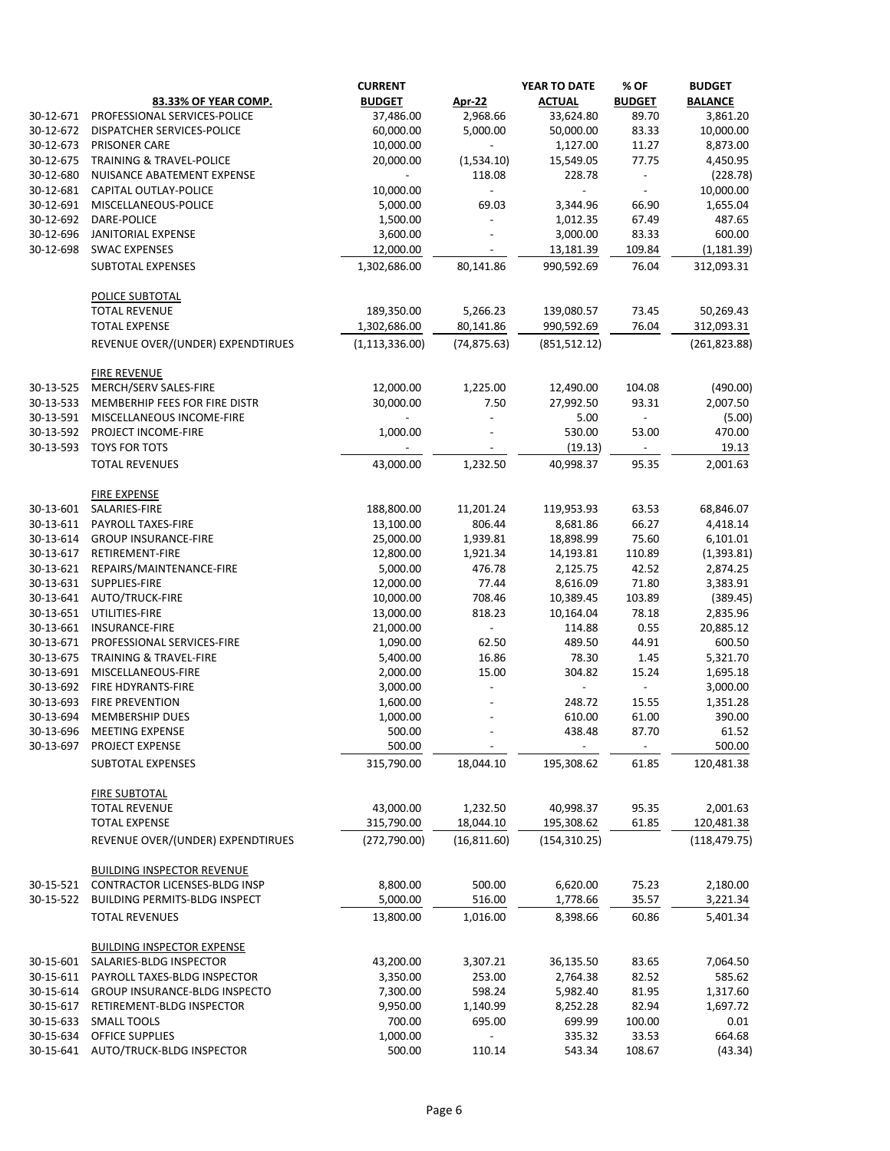|           |                                               | <b>CURRENT</b>   |                          | YEAR TO DATE             | % OF                | <b>BUDGET</b>     |
|-----------|-----------------------------------------------|------------------|--------------------------|--------------------------|---------------------|-------------------|
|           | 83.33% OF YEAR COMP.                          | <b>BUDGET</b>    | Apr-22                   | <b>ACTUAL</b>            | <b>BUDGET</b>       | <b>BALANCE</b>    |
| 30-12-671 | PROFESSIONAL SERVICES-POLICE                  | 37,486.00        | 2,968.66                 | 33,624.80                | 89.70               | 3,861.20          |
| 30-12-672 | <b>DISPATCHER SERVICES-POLICE</b>             | 60,000.00        | 5,000.00                 | 50,000.00                | 83.33               | 10,000.00         |
| 30-12-673 | <b>PRISONER CARE</b>                          | 10,000.00        | $\blacksquare$           | 1,127.00                 | 11.27               | 8,873.00          |
| 30-12-675 | <b>TRAINING &amp; TRAVEL-POLICE</b>           | 20,000.00        | (1,534.10)               | 15,549.05                | 77.75               | 4,450.95          |
| 30-12-680 | NUISANCE ABATEMENT EXPENSE                    | $\blacksquare$   | 118.08                   | 228.78                   |                     | (228.78)          |
| 30-12-681 | <b>CAPITAL OUTLAY-POLICE</b>                  | 10,000.00        | $\overline{\phantom{a}}$ | $\overline{\phantom{a}}$ |                     | 10,000.00         |
| 30-12-691 | MISCELLANEOUS-POLICE                          | 5,000.00         | 69.03                    | 3,344.96                 | 66.90               | 1,655.04          |
| 30-12-692 | DARE-POLICE                                   | 1,500.00         |                          | 1,012.35                 | 67.49               | 487.65            |
| 30-12-696 | JANITORIAL EXPENSE                            | 3,600.00         |                          | 3,000.00                 | 83.33               | 600.00            |
| 30-12-698 | <b>SWAC EXPENSES</b>                          | 12,000.00        |                          | 13,181.39                | 109.84              | (1, 181.39)       |
|           | SUBTOTAL EXPENSES                             | 1,302,686.00     | 80,141.86                | 990,592.69               | 76.04               | 312,093.31        |
|           | POLICE SUBTOTAL                               |                  |                          |                          |                     |                   |
|           | <b>TOTAL REVENUE</b>                          | 189,350.00       | 5,266.23                 | 139,080.57               | 73.45               | 50,269.43         |
|           | <b>TOTAL EXPENSE</b>                          | 1,302,686.00     | 80,141.86                | 990,592.69               | 76.04               | 312,093.31        |
|           | REVENUE OVER/(UNDER) EXPENDTIRUES             | (1, 113, 336.00) | (74, 875.63)             | (851, 512.12)            |                     | (261, 823.88)     |
|           | <b>FIRE REVENUE</b>                           |                  |                          |                          |                     |                   |
| 30-13-525 | MERCH/SERV SALES-FIRE                         | 12,000.00        | 1,225.00                 | 12,490.00                | 104.08              | (490.00)          |
| 30-13-533 | MEMBERHIP FEES FOR FIRE DISTR                 | 30,000.00        | 7.50                     | 27,992.50                | 93.31               | 2,007.50          |
| 30-13-591 | MISCELLANEOUS INCOME-FIRE                     | $\blacksquare$   |                          | 5.00                     |                     | (5.00)            |
| 30-13-592 | PROJECT INCOME-FIRE                           | 1,000.00         |                          | 530.00                   | 53.00               | 470.00            |
| 30-13-593 | <b>TOYS FOR TOTS</b><br><b>TOTAL REVENUES</b> | 43,000.00        | 1,232.50                 | (19.13)<br>40,998.37     | 95.35               | 19.13<br>2,001.63 |
|           |                                               |                  |                          |                          |                     |                   |
|           | <b>FIRE EXPENSE</b>                           |                  |                          |                          |                     |                   |
| 30-13-601 | SALARIES-FIRE                                 | 188,800.00       | 11,201.24                | 119,953.93               | 63.53               | 68,846.07         |
| 30-13-611 | PAYROLL TAXES-FIRE                            | 13,100.00        | 806.44                   | 8,681.86                 | 66.27               | 4,418.14          |
| 30-13-614 | <b>GROUP INSURANCE-FIRE</b>                   | 25,000.00        | 1,939.81                 | 18,898.99                | 75.60               | 6,101.01          |
| 30-13-617 | RETIREMENT-FIRE                               | 12,800.00        | 1,921.34                 | 14,193.81                | 110.89              | (1, 393.81)       |
| 30-13-621 | REPAIRS/MAINTENANCE-FIRE                      | 5,000.00         | 476.78                   | 2,125.75                 | 42.52               | 2,874.25          |
| 30-13-631 | SUPPLIES-FIRE                                 | 12,000.00        | 77.44                    | 8,616.09                 | 71.80               | 3,383.91          |
| 30-13-641 | AUTO/TRUCK-FIRE                               | 10,000.00        | 708.46                   | 10,389.45                | 103.89              | (389.45)          |
| 30-13-651 | UTILITIES-FIRE                                | 13,000.00        | 818.23                   | 10,164.04                | 78.18               | 2,835.96          |
|           | 30-13-661 INSURANCE-FIRE                      | 21,000.00        |                          | 114.88                   | 0.55                | 20,885.12         |
|           | 30-13-671 PROFESSIONAL SERVICES-FIRE          | 1,090.00         | 62.50                    | 489.50                   | 44.91               | 600.50            |
| 30-13-675 | <b>TRAINING &amp; TRAVEL-FIRE</b>             | 5,400.00         | 16.86                    | 78.30                    | 1.45                | 5,321.70          |
| 30-13-691 | MISCELLANEOUS-FIRE                            | 2,000.00         | 15.00                    | 304.82                   | 15.24               | 1,695.18          |
| 30-13-692 | FIRE HDYRANTS-FIRE                            | 3,000.00         |                          | $\sim$                   | $\omega_{\rm{eff}}$ | 3,000.00          |
| 30-13-693 | <b>FIRE PREVENTION</b>                        | 1,600.00         |                          | 248.72                   | 15.55               | 1,351.28          |
| 30-13-694 | <b>MEMBERSHIP DUES</b>                        | 1,000.00         |                          | 610.00                   | 61.00               | 390.00            |
| 30-13-696 | <b>MEETING EXPENSE</b>                        | 500.00           |                          | 438.48                   | 87.70               | 61.52             |
| 30-13-697 | PROJECT EXPENSE                               | 500.00           |                          |                          |                     | 500.00            |
|           | <b>SUBTOTAL EXPENSES</b>                      | 315,790.00       | 18,044.10                | 195,308.62               | 61.85               | 120,481.38        |
|           | <b>FIRE SUBTOTAL</b>                          |                  |                          |                          |                     |                   |
|           | <b>TOTAL REVENUE</b>                          | 43,000.00        | 1,232.50                 | 40,998.37                | 95.35               | 2,001.63          |
|           | <b>TOTAL EXPENSE</b>                          | 315,790.00       | 18,044.10                | 195,308.62               | 61.85               | 120,481.38        |
|           | REVENUE OVER/(UNDER) EXPENDTIRUES             | (272, 790.00)    | (16, 811.60)             | (154, 310.25)            |                     | (118, 479.75)     |
|           | <b>BUILDING INSPECTOR REVENUE</b>             |                  |                          |                          |                     |                   |
| 30-15-521 | CONTRACTOR LICENSES-BLDG INSP                 | 8,800.00         | 500.00                   | 6,620.00                 | 75.23               | 2,180.00          |
| 30-15-522 | <b>BUILDING PERMITS-BLDG INSPECT</b>          | 5,000.00         | 516.00                   | 1,778.66                 | 35.57               | 3,221.34          |
|           | <b>TOTAL REVENUES</b>                         | 13,800.00        | 1,016.00                 | 8,398.66                 | 60.86               | 5,401.34          |
|           | <b>BUILDING INSPECTOR EXPENSE</b>             |                  |                          |                          |                     |                   |
| 30-15-601 | SALARIES-BLDG INSPECTOR                       | 43,200.00        | 3,307.21                 | 36,135.50                | 83.65               | 7,064.50          |
| 30-15-611 | PAYROLL TAXES-BLDG INSPECTOR                  | 3,350.00         | 253.00                   | 2,764.38                 | 82.52               | 585.62            |
| 30-15-614 | GROUP INSURANCE-BLDG INSPECTO                 | 7,300.00         | 598.24                   | 5,982.40                 | 81.95               | 1,317.60          |
| 30-15-617 | RETIREMENT-BLDG INSPECTOR                     | 9,950.00         | 1,140.99                 | 8,252.28                 | 82.94               | 1,697.72          |
| 30-15-633 | <b>SMALL TOOLS</b>                            | 700.00           | 695.00                   | 699.99                   | 100.00              | 0.01              |
| 30-15-634 | <b>OFFICE SUPPLIES</b>                        | 1,000.00         |                          | 335.32                   | 33.53               | 664.68            |
|           | 30-15-641 AUTO/TRUCK-BLDG INSPECTOR           | 500.00           | 110.14                   | 543.34                   | 108.67              | (43.34)           |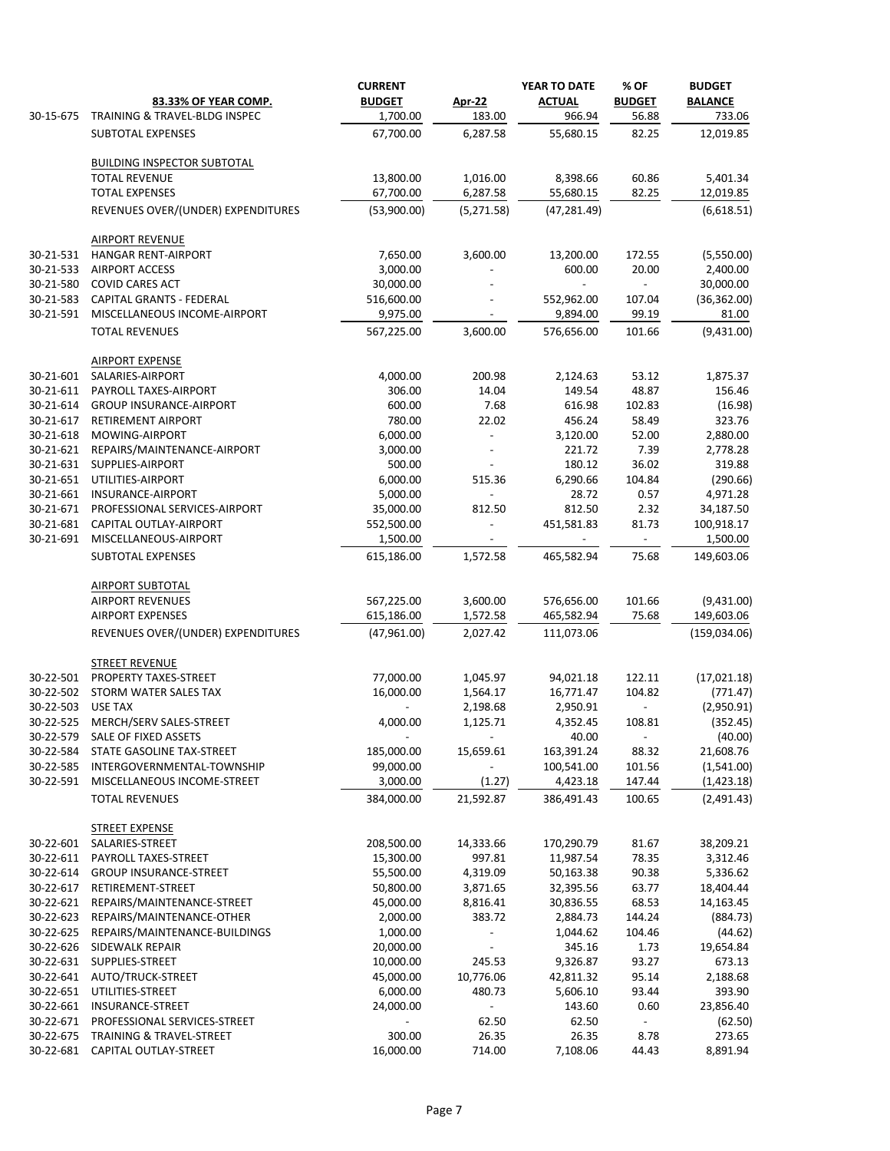|                        |                                                       | <b>CURRENT</b><br><b>BUDGET</b> |                          | YEAR TO DATE<br><b>ACTUAL</b> | % OF<br><b>BUDGET</b> | <b>BUDGET</b>            |
|------------------------|-------------------------------------------------------|---------------------------------|--------------------------|-------------------------------|-----------------------|--------------------------|
| 30-15-675              | 83.33% OF YEAR COMP.<br>TRAINING & TRAVEL-BLDG INSPEC | 1,700.00                        | <b>Apr-22</b><br>183.00  | 966.94                        | 56.88                 | <b>BALANCE</b><br>733.06 |
|                        | <b>SUBTOTAL EXPENSES</b>                              | 67,700.00                       | 6,287.58                 | 55,680.15                     | 82.25                 | 12,019.85                |
|                        |                                                       |                                 |                          |                               |                       |                          |
|                        | <b>BUILDING INSPECTOR SUBTOTAL</b>                    |                                 |                          |                               |                       |                          |
|                        | <b>TOTAL REVENUE</b>                                  | 13,800.00                       | 1,016.00                 | 8,398.66                      | 60.86                 | 5,401.34                 |
|                        | <b>TOTAL EXPENSES</b>                                 | 67,700.00                       | 6,287.58                 | 55,680.15                     | 82.25                 | 12,019.85                |
|                        | REVENUES OVER/(UNDER) EXPENDITURES                    | (53,900.00)                     | (5,271.58)               | (47, 281.49)                  |                       | (6,618.51)               |
|                        | <b>AIRPORT REVENUE</b>                                |                                 |                          |                               |                       |                          |
| 30-21-531              | <b>HANGAR RENT-AIRPORT</b>                            | 7,650.00                        | 3,600.00                 | 13,200.00                     | 172.55                | (5,550.00)               |
| 30-21-533              | <b>AIRPORT ACCESS</b>                                 | 3,000.00                        |                          | 600.00                        | 20.00                 | 2,400.00                 |
| 30-21-580              | <b>COVID CARES ACT</b>                                | 30,000.00                       |                          |                               |                       | 30,000.00                |
| 30-21-583              | <b>CAPITAL GRANTS - FEDERAL</b>                       | 516,600.00                      |                          | 552,962.00                    | 107.04                | (36, 362.00)             |
| 30-21-591              | MISCELLANEOUS INCOME-AIRPORT                          | 9,975.00                        |                          | 9,894.00                      | 99.19                 | 81.00                    |
|                        | <b>TOTAL REVENUES</b>                                 | 567,225.00                      | 3,600.00                 | 576,656.00                    | 101.66                | (9,431.00)               |
|                        | <b>AIRPORT EXPENSE</b>                                |                                 |                          |                               |                       |                          |
| 30-21-601              | SALARIES-AIRPORT                                      | 4,000.00                        | 200.98                   | 2,124.63                      | 53.12                 | 1,875.37                 |
| 30-21-611              | PAYROLL TAXES-AIRPORT                                 | 306.00                          | 14.04                    | 149.54                        | 48.87                 | 156.46                   |
| 30-21-614              | <b>GROUP INSURANCE-AIRPORT</b>                        | 600.00                          | 7.68                     | 616.98                        | 102.83                | (16.98)                  |
| 30-21-617              | <b>RETIREMENT AIRPORT</b>                             | 780.00                          | 22.02                    | 456.24                        | 58.49                 | 323.76                   |
| 30-21-618              | MOWING-AIRPORT                                        | 6,000.00                        |                          | 3,120.00                      | 52.00                 | 2,880.00                 |
| 30-21-621<br>30-21-631 | REPAIRS/MAINTENANCE-AIRPORT<br>SUPPLIES-AIRPORT       | 3,000.00<br>500.00              |                          | 221.72<br>180.12              | 7.39<br>36.02         | 2,778.28<br>319.88       |
| 30-21-651              | UTILITIES-AIRPORT                                     | 6,000.00                        | 515.36                   | 6,290.66                      | 104.84                | (290.66)                 |
| 30-21-661              | INSURANCE-AIRPORT                                     | 5,000.00                        |                          | 28.72                         | 0.57                  | 4,971.28                 |
| 30-21-671              | PROFESSIONAL SERVICES-AIRPORT                         | 35,000.00                       | 812.50                   | 812.50                        | 2.32                  | 34,187.50                |
| 30-21-681              | CAPITAL OUTLAY-AIRPORT                                | 552,500.00                      |                          | 451,581.83                    | 81.73                 | 100,918.17               |
| 30-21-691              | MISCELLANEOUS-AIRPORT                                 | 1,500.00                        |                          |                               | $\sim$                | 1,500.00                 |
|                        | <b>SUBTOTAL EXPENSES</b>                              | 615,186.00                      | 1,572.58                 | 465,582.94                    | 75.68                 | 149,603.06               |
|                        | <b>AIRPORT SUBTOTAL</b>                               |                                 |                          |                               |                       |                          |
|                        | <b>AIRPORT REVENUES</b>                               | 567,225.00                      | 3,600.00                 | 576,656.00                    | 101.66                | (9,431.00)               |
|                        | <b>AIRPORT EXPENSES</b>                               | 615,186.00                      | 1,572.58                 | 465,582.94                    | 75.68                 | 149,603.06               |
|                        | REVENUES OVER/(UNDER) EXPENDITURES                    | (47,961.00)                     | 2,027.42                 | 111,073.06                    |                       | (159, 034.06)            |
|                        | <b>STREET REVENUE</b>                                 |                                 |                          |                               |                       |                          |
| 30-22-501              | PROPERTY TAXES-STREET                                 | 77,000.00                       | 1,045.97                 | 94,021.18                     | 122.11                | (17,021.18)              |
| 30-22-502              | STORM WATER SALES TAX                                 | 16,000.00                       | 1,564.17                 | 16,771.47                     | 104.82                | (771.47)                 |
| 30-22-503              | <b>USE TAX</b>                                        | $\blacksquare$                  | 2,198.68                 | 2,950.91                      | $\sim$                | (2,950.91)               |
| 30-22-525              | MERCH/SERV SALES-STREET                               | 4,000.00                        | 1,125.71                 | 4,352.45                      | 108.81                | (352.45)                 |
| 30-22-579              | SALE OF FIXED ASSETS                                  | $\blacksquare$                  | $\sim$                   | 40.00                         | $\sim$                | (40.00)                  |
| 30-22-584              | STATE GASOLINE TAX-STREET                             | 185,000.00                      | 15,659.61                | 163,391.24                    | 88.32                 | 21,608.76                |
| 30-22-585              | INTERGOVERNMENTAL-TOWNSHIP                            | 99,000.00                       | $\sim$                   | 100,541.00                    | 101.56                | (1,541.00)               |
| 30-22-591              | MISCELLANEOUS INCOME-STREET                           | 3,000.00                        | (1.27)                   | 4,423.18                      | 147.44                | (1,423.18)               |
|                        | <b>TOTAL REVENUES</b>                                 | 384,000.00                      | 21,592.87                | 386,491.43                    | 100.65                | (2,491.43)               |
|                        | <b>STREET EXPENSE</b>                                 |                                 |                          |                               |                       |                          |
| 30-22-601              | SALARIES-STREET                                       | 208,500.00                      | 14,333.66                | 170,290.79                    | 81.67                 | 38,209.21                |
| 30-22-611              | PAYROLL TAXES-STREET                                  | 15,300.00                       | 997.81                   | 11,987.54                     | 78.35                 | 3,312.46                 |
| 30-22-614              | <b>GROUP INSURANCE-STREET</b>                         | 55,500.00                       | 4,319.09                 | 50,163.38                     | 90.38                 | 5,336.62                 |
| 30-22-617              | RETIREMENT-STREET                                     | 50,800.00                       | 3,871.65                 | 32,395.56                     | 63.77                 | 18,404.44                |
| 30-22-621              | REPAIRS/MAINTENANCE-STREET                            | 45,000.00                       | 8,816.41                 | 30,836.55                     | 68.53                 | 14,163.45                |
| 30-22-623              | REPAIRS/MAINTENANCE-OTHER                             | 2,000.00                        | 383.72                   | 2,884.73                      | 144.24                | (884.73)                 |
| 30-22-625              | REPAIRS/MAINTENANCE-BUILDINGS                         | 1,000.00                        |                          | 1,044.62                      | 104.46                | (44.62)                  |
| 30-22-626              | <b>SIDEWALK REPAIR</b>                                | 20,000.00                       |                          | 345.16                        | 1.73                  | 19,654.84                |
| 30-22-631              | SUPPLIES-STREET                                       | 10,000.00                       | 245.53                   | 9,326.87                      | 93.27                 | 673.13                   |
| 30-22-641              | AUTO/TRUCK-STREET                                     | 45,000.00                       | 10,776.06                | 42,811.32                     | 95.14                 | 2,188.68                 |
| 30-22-651              | UTILITIES-STREET                                      | 6,000.00                        | 480.73                   | 5,606.10                      | 93.44                 | 393.90                   |
| 30-22-661              | <b>INSURANCE-STREET</b>                               | 24,000.00                       | $\overline{\phantom{a}}$ | 143.60                        | 0.60                  | 23,856.40                |
| 30-22-671              | PROFESSIONAL SERVICES-STREET                          |                                 | 62.50                    | 62.50                         |                       | (62.50)                  |
| 30-22-675              | TRAINING & TRAVEL-STREET                              | 300.00                          | 26.35                    | 26.35                         | 8.78                  | 273.65                   |
|                        | 30-22-681 CAPITAL OUTLAY-STREET                       | 16,000.00                       | 714.00                   | 7,108.06                      | 44.43                 | 8,891.94                 |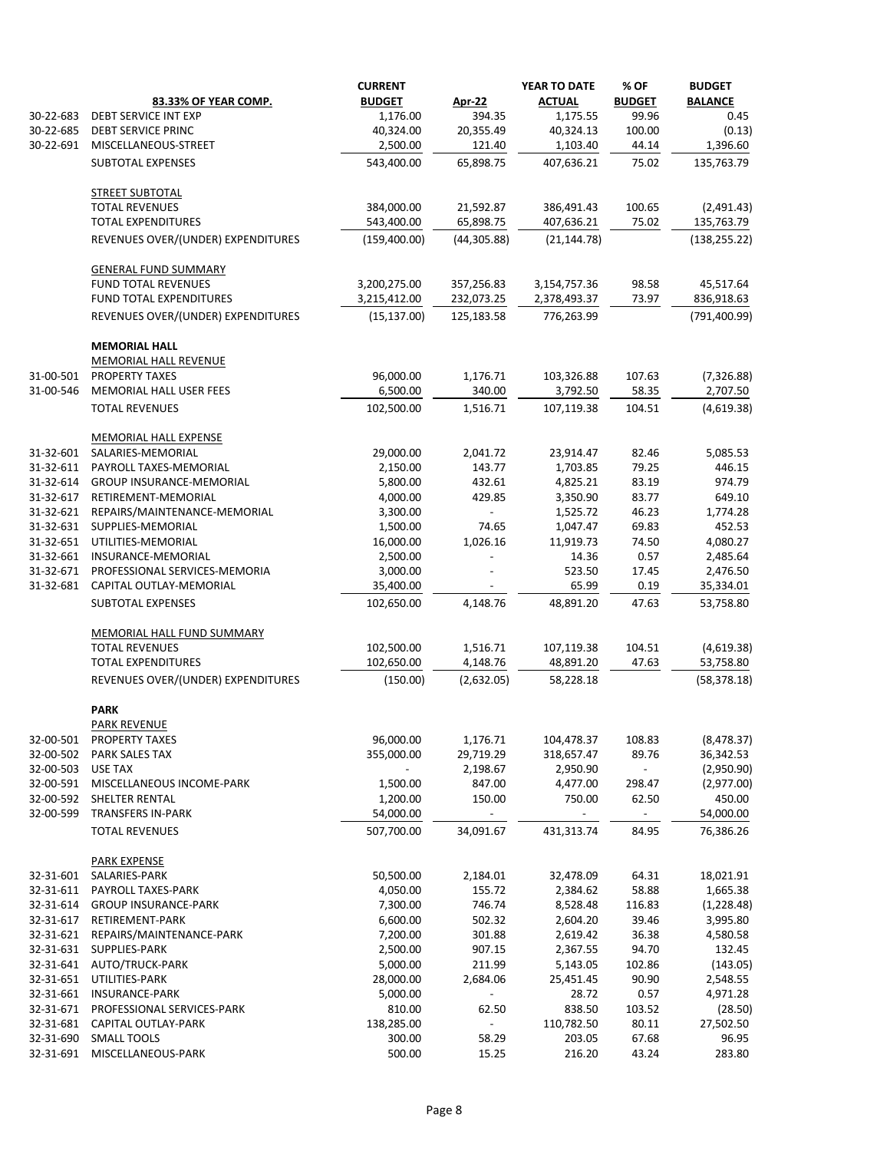|                        | 83.33% OF YEAR COMP.                              | <b>CURRENT</b><br><b>BUDGET</b> | <b>Apr-22</b>  | YEAR TO DATE<br><b>ACTUAL</b> | % OF<br><b>BUDGET</b>    | <b>BUDGET</b><br><b>BALANCE</b> |
|------------------------|---------------------------------------------------|---------------------------------|----------------|-------------------------------|--------------------------|---------------------------------|
| 30-22-683              | <b>DEBT SERVICE INT EXP</b>                       | 1,176.00                        | 394.35         | 1,175.55                      | 99.96                    | 0.45                            |
| 30-22-685              | <b>DEBT SERVICE PRINC</b>                         | 40,324.00                       | 20,355.49      | 40,324.13                     | 100.00                   | (0.13)                          |
| 30-22-691              | MISCELLANEOUS-STREET                              | 2,500.00                        | 121.40         | 1,103.40                      | 44.14                    | 1,396.60                        |
|                        | <b>SUBTOTAL EXPENSES</b>                          | 543,400.00                      | 65,898.75      | 407,636.21                    | 75.02                    | 135,763.79                      |
|                        | <b>STREET SUBTOTAL</b>                            |                                 |                |                               |                          |                                 |
|                        | <b>TOTAL REVENUES</b>                             | 384,000.00                      | 21,592.87      | 386,491.43                    | 100.65                   | (2,491.43)                      |
|                        | <b>TOTAL EXPENDITURES</b>                         | 543,400.00                      | 65,898.75      | 407,636.21                    | 75.02                    | 135,763.79                      |
|                        | REVENUES OVER/(UNDER) EXPENDITURES                | (159, 400.00)                   | (44, 305.88)   | (21, 144.78)                  |                          | (138, 255.22)                   |
|                        | <b>GENERAL FUND SUMMARY</b>                       |                                 |                |                               |                          |                                 |
|                        | <b>FUND TOTAL REVENUES</b>                        | 3,200,275.00                    | 357,256.83     | 3,154,757.36                  | 98.58                    | 45,517.64                       |
|                        | FUND TOTAL EXPENDITURES                           | 3,215,412.00                    | 232,073.25     | 2,378,493.37                  | 73.97                    | 836,918.63                      |
|                        | REVENUES OVER/(UNDER) EXPENDITURES                | (15, 137.00)                    | 125,183.58     | 776,263.99                    |                          | (791, 400.99)                   |
|                        | <b>MEMORIAL HALL</b>                              |                                 |                |                               |                          |                                 |
|                        | MEMORIAL HALL REVENUE<br><b>PROPERTY TAXES</b>    |                                 | 1,176.71       |                               |                          |                                 |
| 31-00-501<br>31-00-546 | MEMORIAL HALL USER FEES                           | 96,000.00<br>6,500.00           | 340.00         | 103,326.88<br>3,792.50        | 107.63<br>58.35          | (7, 326.88)<br>2,707.50         |
|                        |                                                   |                                 |                |                               |                          |                                 |
|                        | <b>TOTAL REVENUES</b>                             | 102,500.00                      | 1,516.71       | 107,119.38                    | 104.51                   | (4,619.38)                      |
| 31-32-601              | <b>MEMORIAL HALL EXPENSE</b><br>SALARIES-MEMORIAL | 29,000.00                       | 2,041.72       | 23,914.47                     | 82.46                    | 5,085.53                        |
| 31-32-611              | PAYROLL TAXES-MEMORIAL                            | 2,150.00                        | 143.77         | 1,703.85                      | 79.25                    | 446.15                          |
| 31-32-614              | <b>GROUP INSURANCE-MEMORIAL</b>                   | 5,800.00                        | 432.61         | 4,825.21                      | 83.19                    | 974.79                          |
| 31-32-617              | RETIREMENT-MEMORIAL                               | 4,000.00                        | 429.85         | 3,350.90                      | 83.77                    | 649.10                          |
| 31-32-621              | REPAIRS/MAINTENANCE-MEMORIAL                      | 3,300.00                        |                | 1,525.72                      | 46.23                    | 1,774.28                        |
| 31-32-631              | SUPPLIES-MEMORIAL                                 | 1,500.00                        | 74.65          | 1,047.47                      | 69.83                    | 452.53                          |
| 31-32-651              | UTILITIES-MEMORIAL                                | 16,000.00                       | 1,026.16       | 11,919.73                     | 74.50                    | 4,080.27                        |
| 31-32-661              | INSURANCE-MEMORIAL                                | 2,500.00                        |                | 14.36                         | 0.57                     | 2,485.64                        |
| 31-32-671              | PROFESSIONAL SERVICES-MEMORIA                     | 3,000.00                        |                | 523.50                        | 17.45                    | 2,476.50                        |
| 31-32-681              | CAPITAL OUTLAY-MEMORIAL                           | 35,400.00                       |                | 65.99                         | 0.19                     | 35,334.01                       |
|                        | <b>SUBTOTAL EXPENSES</b>                          | 102,650.00                      | 4,148.76       | 48,891.20                     | 47.63                    | 53,758.80                       |
|                        | <b>MEMORIAL HALL FUND SUMMARY</b>                 |                                 |                |                               |                          |                                 |
|                        | <b>TOTAL REVENUES</b>                             | 102,500.00                      | 1,516.71       | 107,119.38                    | 104.51                   | (4,619.38)                      |
|                        | <b>TOTAL EXPENDITURES</b>                         | 102,650.00                      | 4,148.76       | 48,891.20                     | 47.63                    | 53,758.80                       |
|                        | REVENUES OVER/(UNDER) EXPENDITURES                | (150.00)                        | (2,632.05)     | 58,228.18                     |                          | (58, 378.18)                    |
|                        | <b>PARK</b><br><b>PARK REVENUE</b>                |                                 |                |                               |                          |                                 |
| 32-00-501              | PROPERTY TAXES                                    | 96,000.00                       | 1,176.71       | 104,478.37                    | 108.83                   | (8, 478.37)                     |
| 32-00-502              | PARK SALES TAX                                    | 355,000.00                      | 29,719.29      | 318,657.47                    | 89.76                    | 36,342.53                       |
| 32-00-503              | <b>USE TAX</b>                                    |                                 | 2,198.67       | 2,950.90                      | $\overline{\phantom{a}}$ | (2,950.90)                      |
| 32-00-591              | MISCELLANEOUS INCOME-PARK                         | 1,500.00                        | 847.00         | 4,477.00                      | 298.47                   | (2,977.00)                      |
| 32-00-592              | SHELTER RENTAL                                    | 1,200.00                        | 150.00         | 750.00                        | 62.50                    | 450.00                          |
| 32-00-599              | <b>TRANSFERS IN-PARK</b>                          | 54,000.00                       |                |                               |                          | 54,000.00                       |
|                        | <b>TOTAL REVENUES</b>                             | 507,700.00                      | 34,091.67      | 431,313.74                    | 84.95                    | 76,386.26                       |
|                        | <b>PARK EXPENSE</b>                               |                                 |                |                               |                          |                                 |
| 32-31-601              | SALARIES-PARK                                     | 50,500.00                       | 2,184.01       | 32,478.09                     | 64.31                    | 18,021.91                       |
| 32-31-611              | PAYROLL TAXES-PARK                                | 4,050.00                        | 155.72         | 2,384.62                      | 58.88                    | 1,665.38                        |
| 32-31-614              | <b>GROUP INSURANCE-PARK</b>                       | 7,300.00                        | 746.74         | 8,528.48                      | 116.83                   | (1, 228.48)                     |
| 32-31-617              | RETIREMENT-PARK                                   | 6,600.00                        | 502.32         | 2,604.20                      | 39.46                    | 3,995.80                        |
| 32-31-621              | REPAIRS/MAINTENANCE-PARK                          | 7,200.00                        | 301.88         | 2,619.42                      | 36.38                    | 4,580.58                        |
| 32-31-631              | SUPPLIES-PARK                                     | 2,500.00                        | 907.15         | 2,367.55                      | 94.70                    | 132.45                          |
| 32-31-641              | AUTO/TRUCK-PARK                                   | 5,000.00                        | 211.99         | 5,143.05                      | 102.86                   | (143.05)                        |
| 32-31-651<br>32-31-661 | UTILITIES-PARK<br><b>INSURANCE-PARK</b>           | 28,000.00<br>5,000.00           | 2,684.06       | 25,451.45<br>28.72            | 90.90<br>0.57            | 2,548.55<br>4,971.28            |
| 32-31-671              | PROFESSIONAL SERVICES-PARK                        | 810.00                          | 62.50          | 838.50                        | 103.52                   | (28.50)                         |
| 32-31-681              | CAPITAL OUTLAY-PARK                               | 138,285.00                      | $\blacksquare$ | 110,782.50                    | 80.11                    | 27,502.50                       |
| 32-31-690              | <b>SMALL TOOLS</b>                                | 300.00                          | 58.29          | 203.05                        | 67.68                    | 96.95                           |
| 32-31-691              | MISCELLANEOUS-PARK                                | 500.00                          | 15.25          | 216.20                        | 43.24                    | 283.80                          |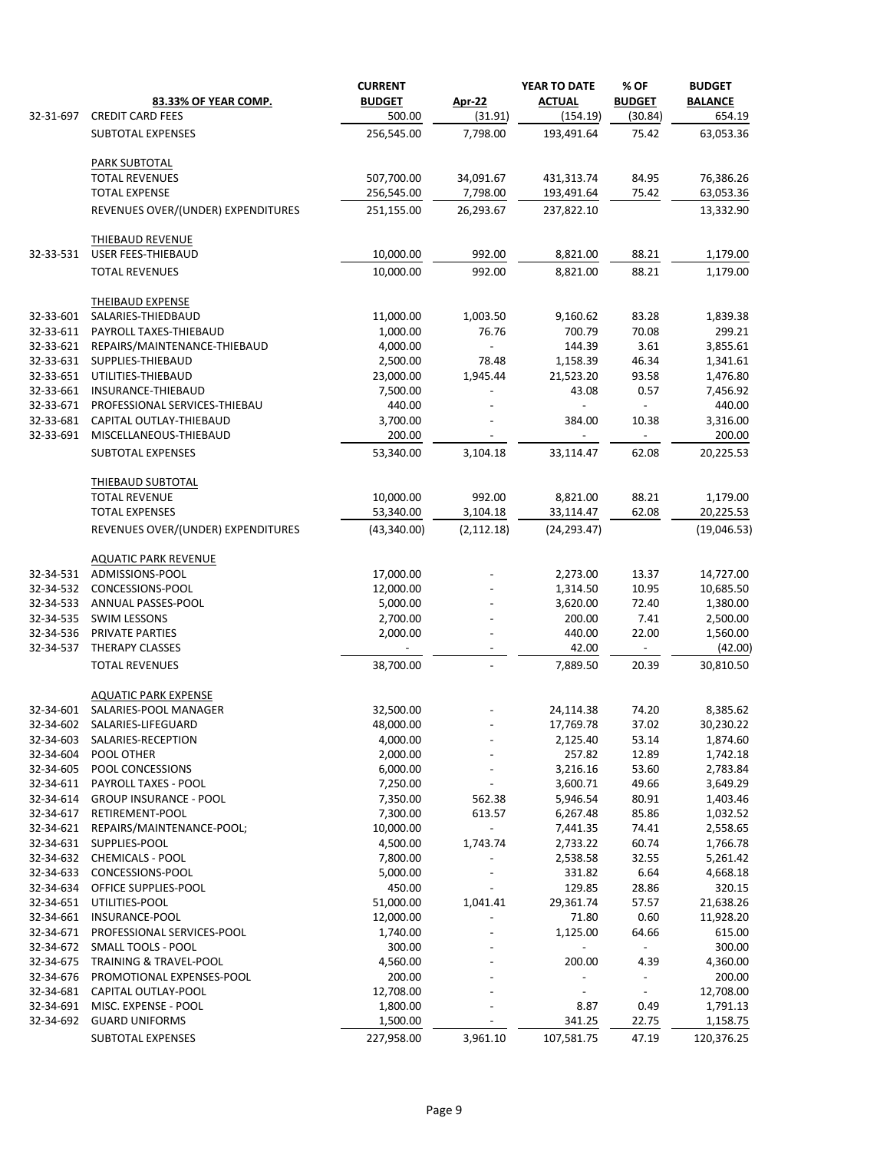|           |                                                  | <b>CURRENT</b>      |               | YEAR TO DATE  | % OF                              | <b>BUDGET</b>       |
|-----------|--------------------------------------------------|---------------------|---------------|---------------|-----------------------------------|---------------------|
|           | 83.33% OF YEAR COMP.                             | <b>BUDGET</b>       | <b>Apr-22</b> | <b>ACTUAL</b> | <b>BUDGET</b>                     | <b>BALANCE</b>      |
| 32-31-697 | <b>CREDIT CARD FEES</b>                          | 500.00              | (31.91)       | (154.19)      | (30.84)                           | 654.19              |
|           | SUBTOTAL EXPENSES                                | 256,545.00          | 7,798.00      | 193,491.64    | 75.42                             | 63,053.36           |
|           | <b>PARK SUBTOTAL</b>                             |                     |               |               |                                   |                     |
|           | <b>TOTAL REVENUES</b>                            | 507,700.00          | 34,091.67     | 431,313.74    | 84.95                             | 76,386.26           |
|           | <b>TOTAL EXPENSE</b>                             | 256,545.00          | 7,798.00      | 193,491.64    | 75.42                             | 63,053.36           |
|           | REVENUES OVER/(UNDER) EXPENDITURES               | 251,155.00          | 26,293.67     | 237,822.10    |                                   | 13,332.90           |
|           | <b>THIEBAUD REVENUE</b>                          |                     |               |               |                                   |                     |
| 32-33-531 | <b>USER FEES-THIEBAUD</b>                        | 10,000.00           | 992.00        | 8,821.00      | 88.21                             | 1,179.00            |
|           | <b>TOTAL REVENUES</b>                            | 10,000.00           | 992.00        | 8,821.00      | 88.21                             | 1,179.00            |
|           | <b>THEIBAUD EXPENSE</b>                          |                     |               |               |                                   |                     |
| 32-33-601 | SALARIES-THIEDBAUD                               | 11,000.00           | 1,003.50      | 9,160.62      | 83.28                             | 1,839.38            |
| 32-33-611 | PAYROLL TAXES-THIEBAUD                           | 1,000.00            | 76.76         | 700.79        | 70.08                             | 299.21              |
| 32-33-621 | REPAIRS/MAINTENANCE-THIEBAUD                     | 4,000.00            |               | 144.39        | 3.61                              | 3,855.61            |
| 32-33-631 | SUPPLIES-THIEBAUD                                | 2,500.00            | 78.48         | 1,158.39      | 46.34                             | 1,341.61            |
| 32-33-651 | UTILITIES-THIEBAUD                               | 23,000.00           | 1,945.44      | 21,523.20     | 93.58                             | 1,476.80            |
| 32-33-661 | INSURANCE-THIEBAUD                               | 7,500.00            |               | 43.08         | 0.57                              | 7,456.92            |
| 32-33-671 | PROFESSIONAL SERVICES-THIEBAU                    | 440.00              |               |               |                                   | 440.00              |
| 32-33-681 | CAPITAL OUTLAY-THIEBAUD                          | 3,700.00            |               | 384.00        | 10.38                             | 3,316.00            |
| 32-33-691 | MISCELLANEOUS-THIEBAUD<br>SUBTOTAL EXPENSES      | 200.00<br>53,340.00 | 3,104.18      | 33,114.47     | $\overline{\phantom{a}}$<br>62.08 | 200.00<br>20,225.53 |
|           |                                                  |                     |               |               |                                   |                     |
|           | <b>THIEBAUD SUBTOTAL</b><br><b>TOTAL REVENUE</b> | 10,000.00           | 992.00        | 8,821.00      | 88.21                             | 1,179.00            |
|           | <b>TOTAL EXPENSES</b>                            | 53,340.00           | 3,104.18      | 33,114.47     | 62.08                             | 20,225.53           |
|           | REVENUES OVER/(UNDER) EXPENDITURES               | (43,340.00)         | (2, 112.18)   | (24, 293.47)  |                                   | (19,046.53)         |
|           |                                                  |                     |               |               |                                   |                     |
| 32-34-531 | <b>AQUATIC PARK REVENUE</b><br>ADMISSIONS-POOL   | 17,000.00           |               | 2,273.00      | 13.37                             | 14,727.00           |
| 32-34-532 | CONCESSIONS-POOL                                 | 12,000.00           |               | 1,314.50      | 10.95                             | 10,685.50           |
| 32-34-533 | ANNUAL PASSES-POOL                               | 5,000.00            |               | 3,620.00      | 72.40                             | 1,380.00            |
| 32-34-535 | <b>SWIM LESSONS</b>                              | 2,700.00            |               | 200.00        | 7.41                              | 2,500.00            |
| 32-34-536 | PRIVATE PARTIES                                  | 2,000.00            |               | 440.00        | 22.00                             | 1,560.00            |
| 32-34-537 | THERAPY CLASSES                                  |                     |               | 42.00         | $\overline{\phantom{a}}$          | (42.00)             |
|           | <b>TOTAL REVENUES</b>                            | 38,700.00           |               | 7,889.50      | 20.39                             | 30,810.50           |
|           | <b>AQUATIC PARK EXPENSE</b>                      |                     |               |               |                                   |                     |
| 32-34-601 | SALARIES-POOL MANAGER                            | 32,500.00           |               | 24,114.38     | 74.20                             | 8,385.62            |
| 32-34-602 | SALARIES-LIFEGUARD                               | 48,000.00           |               | 17,769.78     | 37.02                             | 30,230.22           |
| 32-34-603 | SALARIES-RECEPTION                               | 4,000.00            |               | 2,125.40      | 53.14                             | 1,874.60            |
| 32-34-604 | POOL OTHER                                       | 2,000.00            |               | 257.82        | 12.89                             | 1,742.18            |
| 32-34-605 | POOL CONCESSIONS                                 | 6,000.00            |               | 3,216.16      | 53.60                             | 2,783.84            |
| 32-34-611 | PAYROLL TAXES - POOL                             | 7,250.00            |               | 3,600.71      | 49.66                             | 3,649.29            |
| 32-34-614 | <b>GROUP INSURANCE - POOL</b>                    | 7,350.00            | 562.38        | 5,946.54      | 80.91                             | 1,403.46            |
| 32-34-617 | RETIREMENT-POOL                                  | 7,300.00            | 613.57        | 6,267.48      | 85.86                             | 1,032.52            |
| 32-34-621 | REPAIRS/MAINTENANCE-POOL;                        | 10,000.00           |               | 7,441.35      | 74.41                             | 2,558.65            |
| 32-34-631 | SUPPLIES-POOL                                    | 4,500.00            | 1,743.74      | 2,733.22      | 60.74                             | 1,766.78            |
| 32-34-632 | <b>CHEMICALS - POOL</b>                          | 7,800.00            |               | 2,538.58      | 32.55                             | 5,261.42            |
| 32-34-633 | CONCESSIONS-POOL                                 | 5,000.00            |               | 331.82        | 6.64                              | 4,668.18            |
| 32-34-634 | OFFICE SUPPLIES-POOL                             | 450.00              |               | 129.85        | 28.86                             | 320.15              |
| 32-34-651 | UTILITIES-POOL                                   | 51,000.00           | 1,041.41      | 29,361.74     | 57.57                             | 21,638.26           |
| 32-34-661 | INSURANCE-POOL                                   | 12,000.00           |               | 71.80         | 0.60                              | 11,928.20           |
| 32-34-671 | PROFESSIONAL SERVICES-POOL                       | 1,740.00            |               | 1,125.00      | 64.66                             | 615.00              |
| 32-34-672 | SMALL TOOLS - POOL                               | 300.00              |               |               |                                   | 300.00              |
| 32-34-675 | <b>TRAINING &amp; TRAVEL-POOL</b>                | 4,560.00            |               | 200.00        | 4.39                              | 4,360.00            |
| 32-34-676 | PROMOTIONAL EXPENSES-POOL                        | 200.00              |               |               |                                   | 200.00              |
| 32-34-681 | CAPITAL OUTLAY-POOL                              | 12,708.00           |               |               |                                   | 12,708.00           |
| 32-34-691 | MISC. EXPENSE - POOL                             | 1,800.00            |               | 8.87          | 0.49                              | 1,791.13            |
| 32-34-692 | <b>GUARD UNIFORMS</b>                            | 1,500.00            |               | 341.25        | 22.75                             | 1,158.75            |
|           | SUBTOTAL EXPENSES                                | 227,958.00          | 3,961.10      | 107,581.75    | 47.19                             | 120,376.25          |
|           |                                                  |                     |               |               |                                   |                     |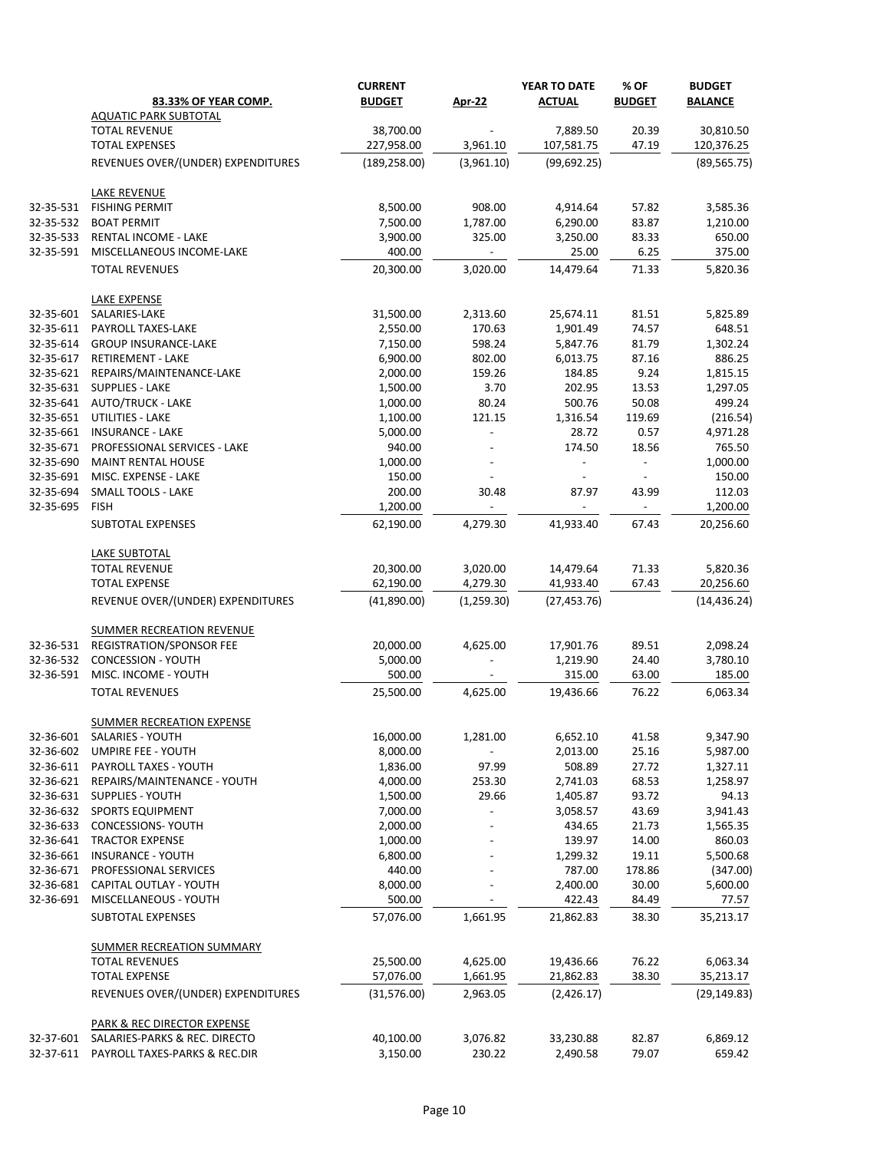|           |                                    | <b>CURRENT</b> |               | YEAR TO DATE             | % OF          | <b>BUDGET</b>  |
|-----------|------------------------------------|----------------|---------------|--------------------------|---------------|----------------|
|           | 83.33% OF YEAR COMP.               | <b>BUDGET</b>  | <b>Apr-22</b> | <b>ACTUAL</b>            | <b>BUDGET</b> | <b>BALANCE</b> |
|           | <b>AQUATIC PARK SUBTOTAL</b>       |                |               |                          |               |                |
|           | <b>TOTAL REVENUE</b>               | 38,700.00      |               | 7,889.50                 | 20.39         | 30,810.50      |
|           | <b>TOTAL EXPENSES</b>              | 227,958.00     | 3,961.10      | 107,581.75               | 47.19         | 120,376.25     |
|           | REVENUES OVER/(UNDER) EXPENDITURES | (189, 258.00)  | (3,961.10)    | (99, 692.25)             |               | (89, 565.75)   |
|           | <b>LAKE REVENUE</b>                |                |               |                          |               |                |
| 32-35-531 | <b>FISHING PERMIT</b>              | 8,500.00       | 908.00        | 4,914.64                 | 57.82         | 3,585.36       |
| 32-35-532 | <b>BOAT PERMIT</b>                 | 7,500.00       | 1,787.00      | 6,290.00                 | 83.87         | 1,210.00       |
| 32-35-533 | <b>RENTAL INCOME - LAKE</b>        | 3,900.00       | 325.00        | 3,250.00                 | 83.33         | 650.00         |
| 32-35-591 | MISCELLANEOUS INCOME-LAKE          | 400.00         |               | 25.00                    | 6.25          | 375.00         |
|           | <b>TOTAL REVENUES</b>              | 20,300.00      | 3,020.00      | 14,479.64                | 71.33         | 5,820.36       |
|           | LAKE EXPENSE                       |                |               |                          |               |                |
| 32-35-601 | SALARIES-LAKE                      | 31,500.00      | 2,313.60      | 25,674.11                | 81.51         | 5,825.89       |
| 32-35-611 | PAYROLL TAXES-LAKE                 | 2,550.00       | 170.63        | 1,901.49                 | 74.57         | 648.51         |
| 32-35-614 | <b>GROUP INSURANCE-LAKE</b>        | 7,150.00       | 598.24        | 5,847.76                 | 81.79         | 1,302.24       |
| 32-35-617 | <b>RETIREMENT - LAKE</b>           | 6,900.00       | 802.00        | 6,013.75                 | 87.16         | 886.25         |
| 32-35-621 | REPAIRS/MAINTENANCE-LAKE           | 2,000.00       | 159.26        | 184.85                   | 9.24          | 1,815.15       |
| 32-35-631 | <b>SUPPLIES - LAKE</b>             | 1,500.00       | 3.70          | 202.95                   | 13.53         | 1,297.05       |
| 32-35-641 | <b>AUTO/TRUCK - LAKE</b>           | 1,000.00       | 80.24         | 500.76                   | 50.08         | 499.24         |
| 32-35-651 | UTILITIES - LAKE                   | 1,100.00       | 121.15        | 1,316.54                 | 119.69        | (216.54)       |
| 32-35-661 | <b>INSURANCE - LAKE</b>            | 5,000.00       |               | 28.72                    | 0.57          | 4,971.28       |
| 32-35-671 | PROFESSIONAL SERVICES - LAKE       | 940.00         |               | 174.50                   | 18.56         | 765.50         |
| 32-35-690 | <b>MAINT RENTAL HOUSE</b>          | 1,000.00       |               |                          |               | 1,000.00       |
| 32-35-691 | MISC. EXPENSE - LAKE               | 150.00         |               |                          |               | 150.00         |
| 32-35-694 | <b>SMALL TOOLS - LAKE</b>          | 200.00         | 30.48         | 87.97                    | 43.99         | 112.03         |
| 32-35-695 | <b>FISH</b>                        | 1,200.00       |               | $\overline{\phantom{a}}$ |               | 1,200.00       |
|           | <b>SUBTOTAL EXPENSES</b>           | 62,190.00      | 4,279.30      | 41,933.40                | 67.43         | 20,256.60      |
|           | <b>LAKE SUBTOTAL</b>               |                |               |                          |               |                |
|           | <b>TOTAL REVENUE</b>               | 20,300.00      | 3,020.00      | 14,479.64                | 71.33         | 5,820.36       |
|           | <b>TOTAL EXPENSE</b>               | 62,190.00      | 4,279.30      | 41,933.40                | 67.43         | 20,256.60      |
|           | REVENUE OVER/(UNDER) EXPENDITURES  | (41,890.00)    | (1,259.30)    | (27, 453.76)             |               | (14, 436.24)   |
|           | <b>SUMMER RECREATION REVENUE</b>   |                |               |                          |               |                |
| 32-36-531 | <b>REGISTRATION/SPONSOR FEE</b>    | 20,000.00      | 4,625.00      | 17,901.76                | 89.51         | 2,098.24       |
| 32-36-532 | <b>CONCESSION - YOUTH</b>          | 5,000.00       |               | 1,219.90                 | 24.40         | 3,780.10       |
| 32-36-591 | MISC. INCOME - YOUTH               | 500.00         |               | 315.00                   | 63.00         | 185.00         |
|           | <b>TOTAL REVENUES</b>              | 25,500.00      | 4,625.00      | 19,436.66                | 76.22         | 6,063.34       |
|           | <b>SUMMER RECREATION EXPENSE</b>   |                |               |                          |               |                |
| 32-36-601 | SALARIES - YOUTH                   | 16,000.00      | 1,281.00      | 6,652.10                 | 41.58         | 9,347.90       |
| 32-36-602 | <b>UMPIRE FEE - YOUTH</b>          | 8,000.00       |               | 2,013.00                 | 25.16         | 5,987.00       |
| 32-36-611 | PAYROLL TAXES - YOUTH              | 1,836.00       | 97.99         | 508.89                   | 27.72         | 1,327.11       |
| 32-36-621 | REPAIRS/MAINTENANCE - YOUTH        | 4,000.00       | 253.30        | 2,741.03                 | 68.53         | 1,258.97       |
| 32-36-631 | <b>SUPPLIES - YOUTH</b>            | 1,500.00       | 29.66         | 1,405.87                 | 93.72         | 94.13          |
| 32-36-632 | <b>SPORTS EQUIPMENT</b>            | 7,000.00       |               | 3,058.57                 | 43.69         | 3,941.43       |
| 32-36-633 | <b>CONCESSIONS- YOUTH</b>          | 2,000.00       |               | 434.65                   | 21.73         | 1,565.35       |
| 32-36-641 | <b>TRACTOR EXPENSE</b>             | 1,000.00       |               | 139.97                   | 14.00         | 860.03         |
| 32-36-661 | <b>INSURANCE - YOUTH</b>           | 6,800.00       |               | 1,299.32                 | 19.11         | 5,500.68       |
| 32-36-671 | PROFESSIONAL SERVICES              | 440.00         |               | 787.00                   | 178.86        | (347.00)       |
| 32-36-681 | CAPITAL OUTLAY - YOUTH             | 8,000.00       |               | 2,400.00                 | 30.00         | 5,600.00       |
| 32-36-691 | MISCELLANEOUS - YOUTH              | 500.00         |               | 422.43                   | 84.49         | 77.57          |
|           | <b>SUBTOTAL EXPENSES</b>           | 57,076.00      | 1,661.95      | 21,862.83                | 38.30         | 35,213.17      |
|           | <b>SUMMER RECREATION SUMMARY</b>   |                |               |                          |               |                |
|           | <b>TOTAL REVENUES</b>              | 25,500.00      | 4,625.00      | 19,436.66                | 76.22         | 6,063.34       |
|           | <b>TOTAL EXPENSE</b>               | 57,076.00      | 1,661.95      | 21,862.83                | 38.30         | 35,213.17      |
|           | REVENUES OVER/(UNDER) EXPENDITURES | (31,576.00)    | 2,963.05      | (2,426.17)               |               | (29, 149.83)   |
|           | PARK & REC DIRECTOR EXPENSE        |                |               |                          |               |                |
| 32-37-601 | SALARIES-PARKS & REC. DIRECTO      | 40,100.00      | 3,076.82      | 33,230.88                | 82.87         | 6,869.12       |
| 32-37-611 | PAYROLL TAXES-PARKS & REC.DIR      | 3,150.00       | 230.22        | 2,490.58                 | 79.07         | 659.42         |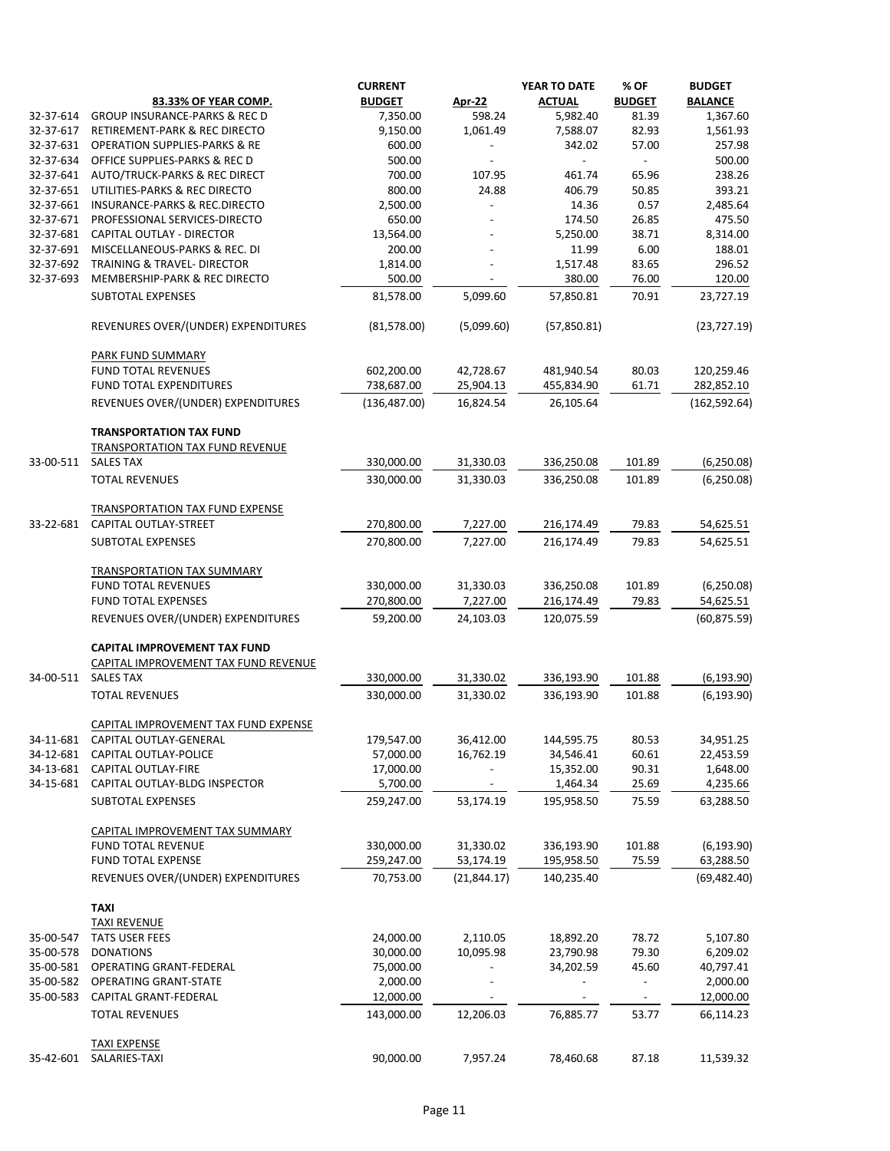|           |                                                          | <b>CURRENT</b> |               | YEAR TO DATE             | % OF          | <b>BUDGET</b>  |
|-----------|----------------------------------------------------------|----------------|---------------|--------------------------|---------------|----------------|
|           | 83.33% OF YEAR COMP.                                     | <b>BUDGET</b>  | <b>Apr-22</b> | <b>ACTUAL</b>            | <b>BUDGET</b> | <b>BALANCE</b> |
| 32-37-614 | <b>GROUP INSURANCE-PARKS &amp; REC D</b>                 | 7,350.00       | 598.24        | 5,982.40                 | 81.39         | 1,367.60       |
| 32-37-617 | RETIREMENT-PARK & REC DIRECTO                            | 9,150.00       | 1,061.49      | 7,588.07                 | 82.93         | 1,561.93       |
| 32-37-631 | <b>OPERATION SUPPLIES-PARKS &amp; RE</b>                 | 600.00         |               | 342.02                   | 57.00         | 257.98         |
| 32-37-634 | OFFICE SUPPLIES-PARKS & REC D                            | 500.00         |               | $\overline{\phantom{0}}$ |               | 500.00         |
| 32-37-641 | AUTO/TRUCK-PARKS & REC DIRECT                            | 700.00         | 107.95        | 461.74                   | 65.96         | 238.26         |
| 32-37-651 | UTILITIES-PARKS & REC DIRECTO                            | 800.00         | 24.88         | 406.79                   | 50.85         | 393.21         |
| 32-37-661 |                                                          |                |               |                          | 0.57          |                |
|           | <b>INSURANCE-PARKS &amp; REC.DIRECTO</b>                 | 2,500.00       |               | 14.36                    |               | 2,485.64       |
| 32-37-671 | PROFESSIONAL SERVICES-DIRECTO                            | 650.00         |               | 174.50                   | 26.85         | 475.50         |
| 32-37-681 | CAPITAL OUTLAY - DIRECTOR                                | 13,564.00      |               | 5,250.00                 | 38.71         | 8,314.00       |
| 32-37-691 | MISCELLANEOUS-PARKS & REC. DI                            | 200.00         |               | 11.99                    | 6.00          | 188.01         |
| 32-37-692 | TRAINING & TRAVEL- DIRECTOR                              | 1,814.00       |               | 1,517.48                 | 83.65         | 296.52         |
| 32-37-693 | MEMBERSHIP-PARK & REC DIRECTO                            | 500.00         |               | 380.00                   | 76.00         | 120.00         |
|           | <b>SUBTOTAL EXPENSES</b>                                 | 81,578.00      | 5,099.60      | 57,850.81                | 70.91         | 23,727.19      |
|           | REVENURES OVER/(UNDER) EXPENDITURES                      | (81,578.00)    | (5,099.60)    | (57,850.81)              |               | (23, 727.19)   |
|           | PARK FUND SUMMARY                                        |                |               |                          |               |                |
|           | <b>FUND TOTAL REVENUES</b>                               | 602,200.00     | 42,728.67     | 481,940.54               | 80.03         | 120,259.46     |
|           | FUND TOTAL EXPENDITURES                                  | 738,687.00     | 25,904.13     | 455,834.90               | 61.71         | 282,852.10     |
|           | REVENUES OVER/(UNDER) EXPENDITURES                       | (136, 487.00)  | 16,824.54     | 26,105.64                |               | (162, 592.64)  |
|           | <b>TRANSPORTATION TAX FUND</b>                           |                |               |                          |               |                |
|           | <b>TRANSPORTATION TAX FUND REVENUE</b>                   |                |               |                          |               |                |
| 33-00-511 | <b>SALES TAX</b>                                         | 330,000.00     | 31,330.03     | 336,250.08               | 101.89        | (6, 250.08)    |
|           | <b>TOTAL REVENUES</b>                                    | 330,000.00     | 31,330.03     | 336,250.08               | 101.89        | (6, 250.08)    |
|           | <b>TRANSPORTATION TAX FUND EXPENSE</b>                   |                |               |                          |               |                |
| 33-22-681 | CAPITAL OUTLAY-STREET                                    | 270,800.00     | 7,227.00      | 216,174.49               | 79.83         | 54,625.51      |
|           | <b>SUBTOTAL EXPENSES</b>                                 | 270,800.00     | 7,227.00      | 216,174.49               | 79.83         | 54,625.51      |
|           |                                                          |                |               |                          |               |                |
|           | TRANSPORTATION TAX SUMMARY<br><b>FUND TOTAL REVENUES</b> | 330,000.00     | 31,330.03     | 336,250.08               | 101.89        | (6, 250.08)    |
|           | FUND TOTAL EXPENSES                                      | 270,800.00     |               | 216,174.49               | 79.83         | 54,625.51      |
|           |                                                          |                | 7,227.00      |                          |               |                |
|           | REVENUES OVER/(UNDER) EXPENDITURES                       | 59,200.00      | 24,103.03     | 120,075.59               |               | (60, 875.59)   |
|           | <b>CAPITAL IMPROVEMENT TAX FUND</b>                      |                |               |                          |               |                |
|           | CAPITAL IMPROVEMENT TAX FUND REVENUE                     |                |               |                          |               |                |
| 34-00-511 | <b>SALES TAX</b>                                         | 330,000.00     | 31,330.02     | 336,193.90               | 101.88        | (6, 193.90)    |
|           | <b>TOTAL REVENUES</b>                                    | 330,000.00     | 31,330.02     | 336,193.90               | 101.88        | (6, 193.90)    |
|           | CAPITAL IMPROVEMENT TAX FUND EXPENSE                     |                |               |                          |               |                |
| 34-11-681 | CAPITAL OUTLAY-GENERAL                                   | 179,547.00     | 36,412.00     | 144,595.75               | 80.53         | 34,951.25      |
|           | 34-12-681 CAPITAL OUTLAY-POLICE                          | 57,000.00      | 16,762.19     | 34,546.41                | 60.61         | 22,453.59      |
|           | 34-13-681 CAPITAL OUTLAY-FIRE                            | 17,000.00      |               | 15,352.00                | 90.31         | 1,648.00       |
|           | 34-15-681 CAPITAL OUTLAY-BLDG INSPECTOR                  | 5,700.00       |               | 1,464.34                 | 25.69         | 4,235.66       |
|           | <b>SUBTOTAL EXPENSES</b>                                 | 259,247.00     | 53,174.19     | 195,958.50               | 75.59         | 63,288.50      |
|           |                                                          |                |               |                          |               |                |
|           | CAPITAL IMPROVEMENT TAX SUMMARY                          |                |               |                          |               |                |
|           | <b>FUND TOTAL REVENUE</b>                                | 330,000.00     | 31,330.02     | 336,193.90               | 101.88        | (6, 193.90)    |
|           | FUND TOTAL EXPENSE                                       | 259,247.00     | 53,174.19     | 195,958.50               | 75.59         | 63,288.50      |
|           | REVENUES OVER/(UNDER) EXPENDITURES                       | 70,753.00      | (21, 844.17)  | 140,235.40               |               | (69, 482.40)   |
|           | <b>TAXI</b>                                              |                |               |                          |               |                |
|           | <b>TAXI REVENUE</b>                                      |                |               |                          |               |                |
| 35-00-547 | <b>TATS USER FEES</b>                                    | 24,000.00      | 2,110.05      | 18,892.20                | 78.72         | 5,107.80       |
| 35-00-578 | <b>DONATIONS</b>                                         | 30,000.00      | 10,095.98     | 23,790.98                | 79.30         | 6,209.02       |
| 35-00-581 | <b>OPERATING GRANT-FEDERAL</b>                           | 75,000.00      |               | 34,202.59                | 45.60         | 40,797.41      |
| 35-00-582 | <b>OPERATING GRANT-STATE</b>                             | 2,000.00       |               |                          |               | 2,000.00       |
| 35-00-583 | CAPITAL GRANT-FEDERAL                                    | 12,000.00      |               |                          |               | 12,000.00      |
|           | <b>TOTAL REVENUES</b>                                    | 143,000.00     | 12,206.03     | 76,885.77                | 53.77         | 66,114.23      |
|           | <b>TAXI EXPENSE</b>                                      |                |               |                          |               |                |
| 35-42-601 | SALARIES-TAXI                                            | 90,000.00      | 7,957.24      | 78,460.68                | 87.18         | 11,539.32      |